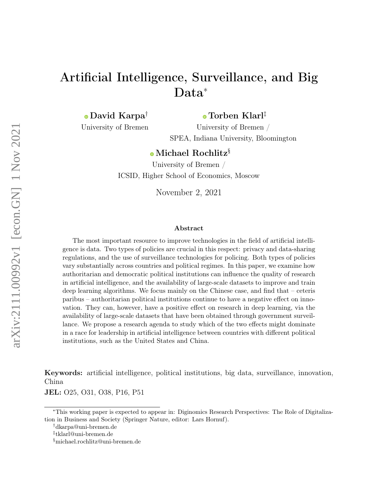# Artificial Intelligence, Surveillance, and Big Data<sup>∗</sup>

[D](https://orcid.org/0000-0002-4327-4269)avid Karpa†

[T](https://orcid.org/0000-0002-3059-1150)orben Klarl‡

University of Bremen

University of Bremen / SPEA, Indiana University, Bloomington

## [M](https://orcid.org/0000-0001-8652-8874)ichael Rochlitz§

University of Bremen / ICSID, Higher School of Economics, Moscow

November 2, 2021

#### Abstract

The most important resource to improve technologies in the field of artificial intelligence is data. Two types of policies are crucial in this respect: privacy and data-sharing regulations, and the use of surveillance technologies for policing. Both types of policies vary substantially across countries and political regimes. In this paper, we examine how authoritarian and democratic political institutions can influence the quality of research in artificial intelligence, and the availability of large-scale datasets to improve and train deep learning algorithms. We focus mainly on the Chinese case, and find that – ceteris paribus – authoritarian political institutions continue to have a negative effect on innovation. They can, however, have a positive effect on research in deep learning, via the availability of large-scale datasets that have been obtained through government surveillance. We propose a research agenda to study which of the two effects might dominate in a race for leadership in artificial intelligence between countries with different political institutions, such as the United States and China.

Keywords: artificial intelligence, political institutions, big data, surveillance, innovation, China

JEL: O25, O31, O38, P16, P51

<sup>∗</sup>This working paper is expected to appear in: Diginomics Research Perspectives: The Role of Digitalization in Business and Society (Springer Nature, editor: Lars Hornuf).

<sup>†</sup>dkarpa@uni-bremen.de

<sup>‡</sup> tklarl@uni-bremen.de

<sup>§</sup>michael.rochlitz@uni-bremen.de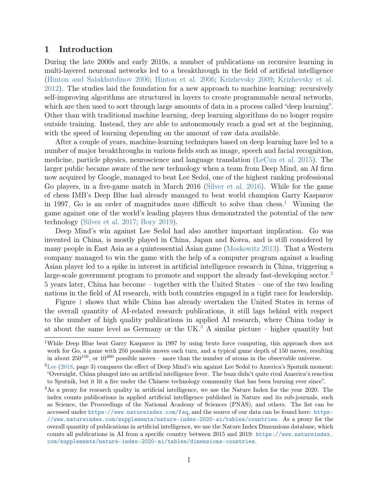## <span id="page-1-3"></span>1 Introduction

During the late 2000s and early 2010s, a number of publications on recursive learning in multi-layered neuronal networks led to a breakthrough in the field of artificial intelligence [\(Hinton and Salakhutdinov](#page-22-0) [2006;](#page-22-0) [Hinton et al.](#page-22-1) [2006;](#page-22-1) [Krizhevsky](#page-23-0) [2009;](#page-23-0) [Krizhevsky et al.](#page-23-1) [2012\)](#page-23-1). The studies laid the foundation for a new approach to machine learning: recursively self-improving algorithms are structured in layers to create programmable neural networks, which are then used to sort through large amounts of data in a process called "deep learning". Other than with traditional machine learning, deep learning algorithms do no longer require outside training. Instead, they are able to autonomously reach a goal set at the beginning, with the speed of learning depending on the amount of raw data available.

After a couple of years, machine-learning techniques based on deep learning have led to a number of major breakthroughs in various fields such as image, speech and facial recognition, medicine, particle physics, neuroscience and language translation [\(LeCun et al.](#page-23-2) [2015\)](#page-23-2). The larger public became aware of the new technology when a team from Deep Mind, an AI firm now acquired by Google, managed to beat Lee Sedol, one of the highest ranking professional Go players, in a five-game match in March 2016 [\(Silver et al.](#page-26-0) [2016\)](#page-26-0). While for the game of chess IMB's Deep Blue had already managed to beat world champion Garry Kasparov in [1](#page-1-0)997, Go is an order of magnitudes more difficult to solve than chess.<sup>1</sup> Winning the game against one of the world's leading players thus demonstrated the potential of the new technology [\(Silver et al.](#page-26-1) [2017;](#page-26-1) [Bory](#page-19-0) [2019\)](#page-19-0).

Deep Mind's win against Lee Sedol had also another important implication. Go was invented in China, is mostly played in China, Japan and Korea, and is still considered by many people in East Asia as a quintessential Asian game [\(Moskowitz](#page-24-0) [2013\)](#page-24-0). That a Western company managed to win the game with the help of a computer program against a leading Asian player led to a spike in interest in artificial intelligence research in China, triggering a large-scale government program to promote and support the already fast-developing sector.<sup>[2](#page-1-1)</sup> 5 years later, China has become – together with the United States – one of the two leading nations in the field of AI research, with both countries engaged in a tight race for leadership.

Figure [1](#page-2-0) shows that while China has already overtaken the United States in terms of the overall quantity of AI-related research publications, it still lags behind with respect to the number of high quality publications in applied AI research, where China today is at about the same level as Germany or the UK.<sup>[3](#page-1-2)</sup> A similar picture – higher quantity but

<span id="page-1-0"></span><sup>1</sup>While Deep Blue beat Garry Kasparov in 1997 by using brute force computing, this approach does not work for Go, a game with 250 possible moves each turn, and a typical game depth of 150 moves, resulting in about  $250^{150}$ , or  $10^{360}$  possible moves – more than the number of atoms in the observable universe.

<span id="page-1-1"></span> ${}^{2}$ [Lee](#page-23-3) [\(2018,](#page-23-3) page 3) compares the effect of Deep Mind's win against Lee Sedol to America's Sputnik moment: "Overnight, China plunged into an artificial intelligence fever. The buzz didn't quite rival America's reaction to Sputnik, but it lit a fire under the Chinese technology community that has been burning ever since".

<span id="page-1-2"></span><sup>3</sup>As a proxy for research quality in artificial intelligence, we use the Nature Index for the year 2020. The index counts publications in applied artificial intelligence published in Nature and its sub-journals, such as Science, the Proceedings of the National Academy of Sciences (PNAS), and others. The list can be accessed under <https://www.natureindex.com/faq>, and the source of our data can be found here: [https:](https://www.natureindex.com/supplements/nature-index-2020-ai/tables/countries) [//www.natureindex.com/supplements/nature-index-2020-ai/tables/countries](https://www.natureindex.com/supplements/nature-index-2020-ai/tables/countries). As a proxy for the overall quantity of publications in artificial intelligence, we use the Nature Index Dimensions database, which counts all publications in AI from a specific country between 2015 and 2019: [https://www.natureindex.](https://www.natureindex.com/supplements/nature-index-2020-ai/tables/dimensions-countries) [com/supplements/nature-index-2020-ai/tables/dimensions-countries](https://www.natureindex.com/supplements/nature-index-2020-ai/tables/dimensions-countries).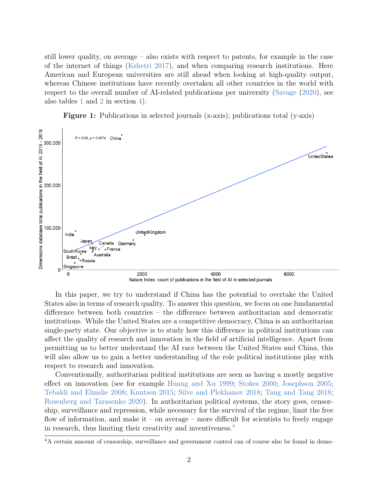still lower quality, on average – also exists with respect to patents, for example in the case of the internet of things [\(Kshetri](#page-23-4) [2017\)](#page-23-4), and when comparing research institutions. Here American and European universities are still ahead when looking at high-quality output, whereas Chinese institutions have recently overtaken all other countries in the world with respect to the overall number of AI-related publications per university [\(Savage](#page-26-2) [\(2020\)](#page-26-2), see also tables [1](#page-15-0) and [2](#page-15-1) in section [4\)](#page-14-0).

Figure 1: Publications in selected journals (x-axis); publications total (y-axis)

<span id="page-2-0"></span>

In this paper, we try to understand if China has the potential to overtake the United States also in terms of research quality. To answer this question, we focus on one fundamental difference between both countries – the difference between authoritarian and democratic institutions. While the United States are a competitive democracy, China is an authoritarian single-party state. Our objective is to study how this difference in political institutions can affect the quality of research and innovation in the field of artificial intelligence. Apart from permitting us to better understand the AI race between the United States and China, this will also allow us to gain a better understanding of the role political institutions play with respect to research and innovation.

Conventionally, authoritarian political institutions are seen as having a mostly negative effect on innovation (see for example [Huang and Xu](#page-22-2) [1999;](#page-22-2) [Stokes](#page-27-0) [2000;](#page-27-0) [Josephson](#page-22-3) [2005;](#page-22-3) [Tebaldi and Elmslie](#page-27-1) [2008;](#page-27-1) [Knutsen](#page-23-5) [2015;](#page-23-5) [Silve and Plekhanov](#page-26-3) [2018;](#page-26-3) [Tang and Tang](#page-27-2) [2018;](#page-27-2) [Rosenberg and Tarasenko](#page-26-4) [2020\)](#page-26-4). In authoritarian political systems, the story goes, censorship, surveillance and repression, while necessary for the survival of the regime, limit the free flow of information, and make it – on average – more difficult for scientists to freely engage in research, thus limiting their creativity and inventiveness.[4](#page-2-1)

<span id="page-2-1"></span><sup>4</sup>A certain amount of censorship, surveillance and government control can of course also be found in demo-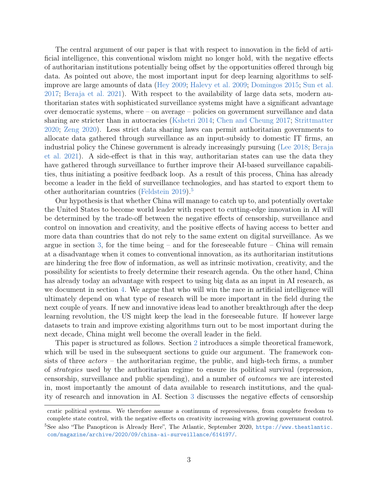The central argument of our paper is that with respect to innovation in the field of artificial intelligence, this conventional wisdom might no longer hold, with the negative effects of authoritarian institutions potentially being offset by the opportunities offered through big data. As pointed out above, the most important input for deep learning algorithms to selfimprove are large amounts of data [\(Hey](#page-22-4) [2009;](#page-22-4) [Halevy et al.](#page-21-0) [2009;](#page-21-0) [Domingos](#page-20-0) [2015;](#page-20-0) [Sun et al.](#page-27-3) [2017;](#page-27-3) [Beraja et al.](#page-19-1) [2021\)](#page-19-1). With respect to the availability of large data sets, modern authoritarian states with sophisticated surveillance systems might have a significant advantage over democratic systems, where – on average – policies on government surveillance and data sharing are stricter than in autocracies [\(Kshetri](#page-23-6) [2014;](#page-23-6) [Chen and Cheung](#page-20-1) [2017;](#page-20-1) [Strittmatter](#page-27-4) [2020;](#page-27-4) [Zeng](#page-28-0) [2020\)](#page-28-0). Less strict data sharing laws can permit authoritarian governments to allocate data gathered through surveillance as an input-subsidy to domestic IT firms, an industrial policy the Chinese government is already increasingly pursuing [\(Lee](#page-23-3) [2018;](#page-23-3) [Beraja](#page-19-1) [et al.](#page-19-1) [2021\)](#page-19-1). A side-effect is that in this way, authoritarian states can use the data they have gathered through surveillance to further improve their AI-based surveillance capabilities, thus initiating a positive feedback loop. As a result of this process, China has already become a leader in the field of surveillance technologies, and has started to export them to other authoritarian countries [\(Feldstein](#page-21-1) [2019\)](#page-21-1).<sup>[5](#page-3-0)</sup>

Our hypothesis is that whether China will manage to catch up to, and potentially overtake the United States to become world leader with respect to cutting-edge innovation in AI will be determined by the trade-off between the negative effects of censorship, surveillance and control on innovation and creativity, and the positive effects of having access to better and more data than countries that do not rely to the same extent on digital surveillance. As we argue in section [3,](#page-6-0) for the time being – and for the foreseeable future – China will remain at a disadvantage when it comes to conventional innovation, as its authoritarian institutions are hindering the free flow of information, as well as intrinsic motivation, creativity, and the possibility for scientists to freely determine their research agenda. On the other hand, China has already today an advantage with respect to using big data as an input in AI research, as we document in section [4.](#page-14-0) We argue that who will win the race in artificial intelligence will ultimately depend on what type of research will be more important in the field during the next couple of years. If new and innovative ideas lead to another breakthrough after the deep learning revolution, the US might keep the lead in the foreseeable future. If however large datasets to train and improve existing algorithms turn out to be most important during the next decade, China might well become the overall leader in the field.

This paper is structured as follows. Section [2](#page-4-0) introduces a simple theoretical framework, which will be used in the subsequent sections to guide our argument. The framework consists of three  $actors$  – the authoritarian regime, the public, and high-tech firms, a number of strategies used by the authoritarian regime to ensure its political survival (repression, censorship, surveillance and public spending), and a number of outcomes we are interested in, most importantly the amount of data available to research institutions, and the quality of research and innovation in AI. Section [3](#page-6-0) discusses the negative effects of censorship

<span id="page-3-0"></span>cratic political systems. We therefore assume a continuum of repressiveness, from complete freedom to complete state control, with the negative effects on creativity increasing with growing government control.  $5$ See also "The Panopticon is Already Here", The Atlantic, September 2020, [https://www.theatlantic.](https://www.theatlantic.com/magazine/archive/2020/09/china-ai-surveillance/614197/) [com/magazine/archive/2020/09/china-ai-surveillance/614197/](https://www.theatlantic.com/magazine/archive/2020/09/china-ai-surveillance/614197/).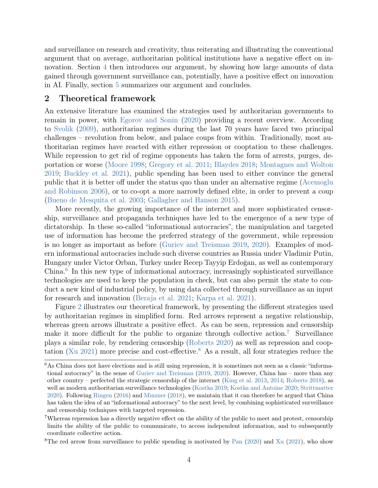and surveillance on research and creativity, thus reiterating and illustrating the conventional argument that on average, authoritarian political institutions have a negative effect on innovation. Section [4](#page-14-0) then introduces our argument, by showing how large amounts of data gained through government surveillance can, potentially, have a positive effect on innovation in AI. Finally, section [5](#page-18-0) summarizes our argument and concludes.

### <span id="page-4-0"></span>2 Theoretical framework

An extensive literature has examined the strategies used by authoritarian governments to remain in power, with [Egorov and Sonin](#page-20-2) [\(2020\)](#page-20-2) providing a recent overview. According to [Svolik](#page-27-5) [\(2009\)](#page-27-5), authoritarian regimes during the last 70 years have faced two principal challenges – revolution from below, and palace coups from within. Traditionally, most authoritarian regimes have reacted with either repression or cooptation to these challenges. While repression to get rid of regime opponents has taken the form of arrests, purges, deportation or worse [\(Moore](#page-24-1) [1998;](#page-24-1) [Gregory et al.](#page-21-2) [2011;](#page-21-2) [Blaydes](#page-19-2) [2018;](#page-19-2) [Montagnes and Wolton](#page-24-2) [2019;](#page-24-2) [Buckley et al.](#page-20-3) [2021\)](#page-20-3), public spending has been used to either convince the general public that it is better off under the status quo than under an alternative regime [\(Acemoglu](#page-19-3) [and Robinson](#page-19-3) [2006\)](#page-19-3), or to co-opt a more narrowly defined elite, in order to prevent a coup [\(Bueno de Mesquita et al.](#page-20-4) [2003;](#page-20-4) [Gallagher and Hanson](#page-21-3) [2015\)](#page-21-3).

More recently, the growing importance of the internet and more sophisticated censorship, surveillance and propaganda techniques have led to the emergence of a new type of dictatorship. In these so-called "informational autocracies", the manipulation and targeted use of information has become the preferred strategy of the government, while repression is no longer as important as before [\(Guriev and Treisman](#page-21-4) [2019,](#page-21-4) [2020\)](#page-21-5). Examples of modern informational autocracies include such diverse countries as Russia under Vladimir Putin, Hungary under Victor Orban, Turkey under Recep Tayyip Erdoğan, as well as contemporary China.<sup>[6](#page-4-1)</sup> In this new type of informational autocracy, increasingly sophisticated surveillance technologies are used to keep the population in check, but can also permit the state to conduct a new kind of industrial policy, by using data collected through surveillance as an input for research and innovation [\(Beraja et al.](#page-19-1) [2021;](#page-19-1) [Karpa et al.](#page-22-5) [2021\)](#page-22-5).

Figure [2](#page-5-0) illustrates our theoretical framework, by presenting the different strategies used by authoritarian regimes in simplified form. Red arrows represent a negative relationship, whereas green arrows illustrate a positive effect. As can be seen, repression and censorship make it more difficult for the public to organize through collective action.<sup>[7](#page-4-2)</sup> Surveillance plays a similar role, by rendering censorship [\(Roberts](#page-25-0) [2020\)](#page-25-0) as well as repression and coop-tation [\(Xu](#page-28-1) [2021\)](#page-28-1) more precise and cost-effective.<sup>[8](#page-4-3)</sup> As a result, all four strategies reduce the

<span id="page-4-1"></span> $6$ As China does not have elections and is still using repression, it is sometimes not seen as a classic "informational autocracy" in the sense of [Guriev and Treisman](#page-21-4) [\(2019,](#page-21-4) [2020\)](#page-21-5). However, China has – more than any other country – perfected the strategic censorship of the internet [\(King et al.](#page-22-6) [2013,](#page-22-6) [2014;](#page-23-7) [Roberts](#page-25-1) [2018\)](#page-25-1), as well as modern authoritarian surveillance technologies [\(Kostka](#page-23-8) [2019;](#page-23-8) [Kostka and Antoine](#page-23-9) [2020;](#page-23-9) [Strittmatter](#page-27-4) [2020\)](#page-27-4). Following [Ringen](#page-25-2) [\(2016\)](#page-25-2) and [Minzner](#page-24-3) [\(2018\)](#page-24-3), we maintain that it can therefore be argued that China has taken the idea of an "informational autocracy" to the next level, by combining sophisticated surveillance and censorship techniques with targeted repression.

<span id="page-4-2"></span><sup>7</sup>Whereas repression has a directly negative effect on the ability of the public to meet and protest, censorship limits the ability of the public to communicate, to access independent information, and to subsequently coordinate collective action.

<span id="page-4-3"></span><sup>&</sup>lt;sup>8</sup>The red arrow from surveillance to public spending is motivated by [Pan](#page-24-4)  $(2020)$  and [Xu](#page-28-1)  $(2021)$ , who show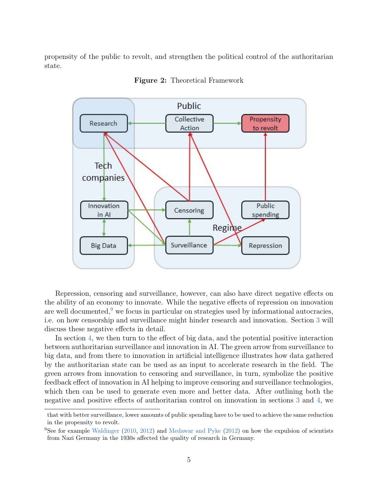propensity of the public to revolt, and strengthen the political control of the authoritarian state.

<span id="page-5-0"></span>

Figure 2: Theoretical Framework

Repression, censoring and surveillance, however, can also have direct negative effects on the ability of an economy to innovate. While the negative effects of repression on innovation are well documented, $9$  we focus in particular on strategies used by informational autocracies, i.e. on how censorship and surveillance might hinder research and innovation. Section [3](#page-6-0) will discuss these negative effects in detail.

In section [4,](#page-14-0) we then turn to the effect of big data, and the potential positive interaction between authoritarian surveillance and innovation in AI. The green arrow from surveillance to big data, and from there to innovation in artificial intelligence illustrates how data gathered by the authoritarian state can be used as an input to accelerate research in the field. The green arrows from innovation to censoring and surveillance, in turn, symbolize the positive feedback effect of innovation in AI helping to improve censoring and surveillance technologies, which then can be used to generate even more and better data. After outlining both the negative and positive effects of authoritarian control on innovation in sections [3](#page-6-0) and [4,](#page-14-0) we

that with better surveillance, lower amounts of public spending have to be used to achieve the same reduction in the propensity to revolt.

<span id="page-5-1"></span><sup>&</sup>lt;sup>9</sup>See for example [Waldinger](#page-27-6) [\(2010,](#page-27-6) [2012\)](#page-27-7) and [Medawar and Pyke](#page-24-5) [\(2012\)](#page-24-5) on how the expulsion of scientists from Nazi Germany in the 1930s affected the quality of research in Germany.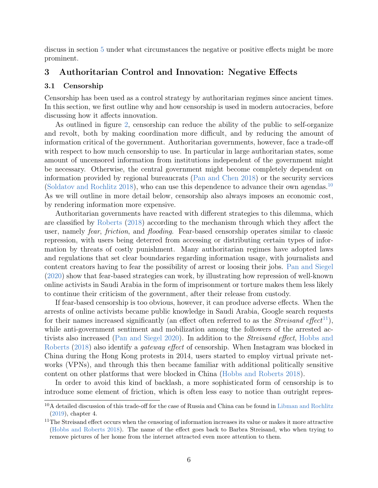discuss in section [5](#page-18-0) under what circumstances the negative or positive effects might be more prominent.

## <span id="page-6-0"></span>3 Authoritarian Control and Innovation: Negative Effects

#### <span id="page-6-3"></span>3.1 Censorship

Censorship has been used as a control strategy by authoritarian regimes since ancient times. In this section, we first outline why and how censorship is used in modern autocracies, before discussing how it affects innovation.

As outlined in figure [2,](#page-5-0) censorship can reduce the ability of the public to self-organize and revolt, both by making coordination more difficult, and by reducing the amount of information critical of the government. Authoritarian governments, however, face a trade-off with respect to how much censorship to use. In particular in large authoritarian states, some amount of uncensored information from institutions independent of the government might be necessary. Otherwise, the central government might become completely dependent on information provided by regional bureaucrats [\(Pan and Chen](#page-24-6) [2018\)](#page-24-6) or the security services [\(Soldatov and Rochlitz](#page-26-5) [2018\)](#page-26-5), who can use this dependence to advance their own agendas.[10](#page-6-1) As we will outline in more detail below, censorship also always imposes an economic cost, by rendering information more expensive.

Authoritarian governments have reacted with different strategies to this dilemma, which are classified by [Roberts](#page-25-1) [\(2018\)](#page-25-1) according to the mechanism through which they affect the user, namely fear, friction, and flooding. Fear-based censorship operates similar to classic repression, with users being deterred from accessing or distributing certain types of information by threats of costly punishment. Many authoritarian regimes have adopted laws and regulations that set clear boundaries regarding information usage, with journalists and content creators having to fear the possibility of arrest or loosing their jobs. [Pan and Siegel](#page-25-3) [\(2020\)](#page-25-3) show that fear-based strategies can work, by illustrating how repression of well-known online activists in Saudi Arabia in the form of imprisonment or torture makes them less likely to continue their criticism of the government, after their release from custody.

If fear-based censorship is too obvious, however, it can produce adverse effects. When the arrests of online activists became public knowledge in Saudi Arabia, Google search requests for their names increased significantly (an effect often referred to as the *Streisand effect*<sup>[11](#page-6-2)</sup>), while anti-government sentiment and mobilization among the followers of the arrested activists also increased [\(Pan and Siegel](#page-25-3) [2020\)](#page-25-3). In addition to the Streisand effect, [Hobbs and](#page-22-7) [Roberts](#page-22-7) [\(2018\)](#page-22-7) also identify a gateway effect of censorship. When Instagram was blocked in China during the Hong Kong protests in 2014, users started to employ virtual private networks (VPNs), and through this then became familiar with additional politically sensitive content on other platforms that were blocked in China [\(Hobbs and Roberts](#page-22-7) [2018\)](#page-22-7).

In order to avoid this kind of backlash, a more sophisticated form of censorship is to introduce some element of friction, which is often less easy to notice than outright repres-

<span id="page-6-1"></span><sup>10</sup>A detailed discussion of this trade-off for the case of Russia and China can be found in [Libman and Rochlitz](#page-24-7) [\(2019\)](#page-24-7), chapter 4.

<span id="page-6-2"></span><sup>&</sup>lt;sup>11</sup>The Streisand effect occurs when the censoring of information increases its value or makes it more attractive [\(Hobbs and Roberts](#page-22-7) [2018\)](#page-22-7). The name of the effect goes back to Barbra Streisand, who when trying to remove pictures of her home from the internet attracted even more attention to them.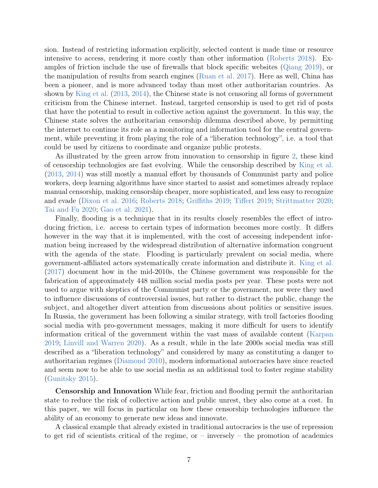sion. Instead of restricting information explicitly, selected content is made time or resource intensive to access, rendering it more costly than other information [\(Roberts](#page-25-1) [2018\)](#page-25-1). Examples of friction include the use of firewalls that block specific websites [\(Qiang](#page-25-4) [2019\)](#page-25-4), or the manipulation of results from search engines [\(Ruan et al.](#page-26-6) [2017\)](#page-26-6). Here as well, China has been a pioneer, and is more advanced today than most other authoritarian countries. As shown by [King et al.](#page-22-6) [\(2013,](#page-22-6) [2014\)](#page-23-7), the Chinese state is not censoring all forms of government criticism from the Chinese internet. Instead, targeted censorship is used to get rid of posts that have the potential to result in collective action against the government. In this way, the Chinese state solves the authoritarian censorship dilemma described above, by permitting the internet to continue its role as a monitoring and information tool for the central government, while preventing it from playing the role of a "liberation technology", i.e. a tool that could be used by citizens to coordinate and organize public protests.

As illustrated by the green arrow from innovation to censorship in figure [2,](#page-5-0) these kind of censorship technologies are fast evolving. While the censorship described by [King et al.](#page-22-6) [\(2013,](#page-22-6) [2014\)](#page-23-7) was still mostly a manual effort by thousands of Communist party and police workers, deep learning algorithms have since started to assist and sometimes already replace manual censorship, making censorship cheaper, more sophisticated, and less easy to recognize and evade [\(Dixon et al.](#page-20-5) [2016;](#page-20-5) [Roberts](#page-25-1) [2018;](#page-25-1) [Griffiths](#page-21-6) [2019;](#page-21-6) [Tiffert](#page-27-8) [2019;](#page-27-8) [Strittmatter](#page-27-4) [2020;](#page-27-4) [Tai and Fu](#page-27-9) [2020;](#page-27-9) [Gao et al.](#page-21-7) [2021\)](#page-21-7).

Finally, flooding is a technique that in its results closely resembles the effect of introducing friction, i.e. access to certain types of information becomes more costly. It differs however in the way that it is implemented, with the cost of accessing independent information being increased by the widespread distribution of alternative information congruent with the agenda of the state. Flooding is particularly prevalent on social media, where government-affiliated actors systematically create information and distribute it. [King et al.](#page-23-10) [\(2017\)](#page-23-10) document how in the mid-2010s, the Chinese government was responsible for the fabrication of approximately 448 million social media posts per year. These posts were not used to argue with skeptics of the Communist party or the government, nor were they used to influence discussions of controversial issues, but rather to distract the public, change the subject, and altogether divert attention from discussions about politics or sensitive issues. In Russia, the government has been following a similar strategy, with troll factories flooding social media with pro-government messages, making it more difficult for users to identify information critical of the government within the vast mass of available content [\(Karpan](#page-22-8) [2019;](#page-22-8) [Linvill and Warren](#page-24-8) [2020\)](#page-24-8). As a result, while in the late 2000s social media was still described as a "liberation technology" and considered by many as constituting a danger to authoritarian regimes [\(Diamond](#page-20-6) [2010\)](#page-20-6), modern informational autocracies have since reacted and seem now to be able to use social media as an additional tool to foster regime stability [\(Gunitsky](#page-21-8) [2015\)](#page-21-8).

Censorship and Innovation While fear, friction and flooding permit the authoritarian state to reduce the risk of collective action and public unrest, they also come at a cost. In this paper, we will focus in particular on how these censorship technologies influence the ability of an economy to generate new ideas and innovate.

A classical example that already existed in traditional autocracies is the use of repression to get rid of scientists critical of the regime, or  $-$  inversely  $-$  the promotion of academics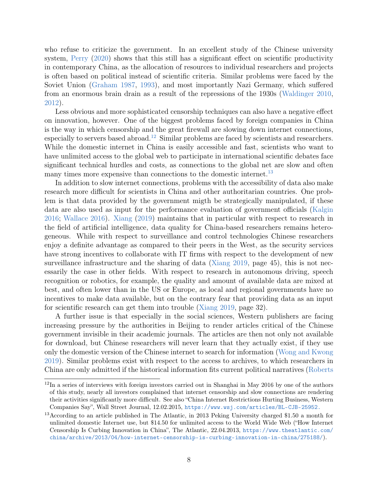who refuse to criticize the government. In an excellent study of the Chinese university system, [Perry](#page-25-5) [\(2020\)](#page-25-5) shows that this still has a significant effect on scientific productivity in contemporary China, as the allocation of resources to individual researchers and projects is often based on political instead of scientific criteria. Similar problems were faced by the Soviet Union [\(Graham](#page-21-9) [1987,](#page-21-9) [1993\)](#page-21-10), and most importantly Nazi Germany, which suffered from an enormous brain drain as a result of the repressions of the 1930s [\(Waldinger](#page-27-6) [2010,](#page-27-6) [2012\)](#page-27-7).

Less obvious and more sophisticated censorship techniques can also have a negative effect on innovation, however. One of the biggest problems faced by foreign companies in China is the way in which censorship and the great firewall are slowing down internet connections, especially to servers based abroad.<sup>[12](#page-8-0)</sup> Similar problems are faced by scientists and researchers. While the domestic internet in China is easily accessible and fast, scientists who want to have unlimited access to the global web to participate in international scientific debates face significant technical hurdles and costs, as connections to the global net are slow and often many times more expensive than connections to the domestic internet.<sup>[13](#page-8-1)</sup>

In addition to slow internet connections, problems with the accessibility of data also make research more difficult for scientists in China and other authoritarian countries. One problem is that data provided by the government migth be strategically manipulated, if these data are also used as input for the performance evaluation of government officials [\(Kalgin](#page-22-9) [2016;](#page-22-9) [Wallace](#page-27-10) [2016\)](#page-27-10). [Xiang](#page-28-2) [\(2019\)](#page-28-2) maintains that in particular with respect to research in the field of artificial intelligence, data quality for China-based researchers remains heterogeneous. While with respect to surveillance and control technologies Chinese researchers enjoy a definite advantage as compared to their peers in the West, as the security services have strong incentives to collaborate with IT firms with respect to the development of new surveillance infrastructure and the sharing of data [\(Xiang](#page-28-2) [2019,](#page-28-2) page 45), this is not necessarily the case in other fields. With respect to research in autonomous driving, speech recognition or robotics, for example, the quality and amount of available data are mixed at best, and often lower than in the US or Europe, as local and regional governments have no incentives to make data available, but on the contrary fear that providing data as an input for scientific research can get them into trouble [\(Xiang](#page-28-2) [2019,](#page-28-2) page 32).

A further issue is that especially in the social sciences, Western publishers are facing increasing pressure by the authorities in Beijing to render articles critical of the Chinese government invisible in their academic journals. The articles are then not only not available for download, but Chinese researchers will never learn that they actually exist, if they use only the domestic version of the Chinese internet to search for information [\(Wong and Kwong](#page-27-11) [2019\)](#page-27-11). Similar problems exist with respect to the access to archives, to which researchers in China are only admitted if the historical information fits current political narratives [\(Roberts](#page-25-1)

<span id="page-8-0"></span> $12$ In a series of interviews with foreign investors carried out in Shanghai in May 2016 by one of the authors of this study, nearly all investors complained that internet censorship and slow connections are rendering their activities significantly more difficult. See also "China Internet Restrictions Hurting Business, Western Companies Say", Wall Street Journal, 12.02.2015, <https://www.wsj.com/articles/BL-CJB-25952.>

<span id="page-8-1"></span><sup>13</sup>According to an article published in The Atlantic, in 2013 Peking University charged \$1.50 a month for unlimited domestic Internet use, but \$14.50 for unlimited access to the World Wide Web ("How Internet Censorship Is Curbing Innovation in China", The Atlantic, 22.04.2013, [https://www.theatlantic.com/](https://www.theatlantic.com/china/archive/2013/04/how-internet-censorship-is-curbing-innovation-in-china/275188/) [china/archive/2013/04/how-internet-censorship-is-curbing-innovation-in-china/275188/](https://www.theatlantic.com/china/archive/2013/04/how-internet-censorship-is-curbing-innovation-in-china/275188/)).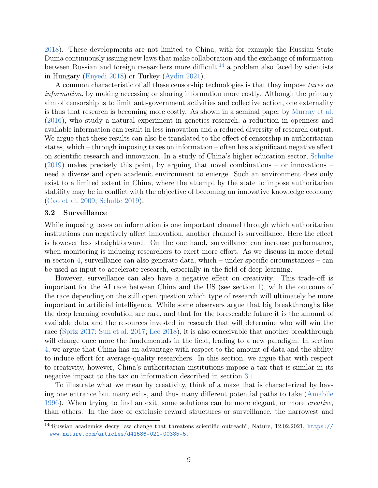[2018\)](#page-25-1). These developments are not limited to China, with for example the Russian State Duma continuously issuing new laws that make collaboration and the exchange of information between Russian and foreign researchers more difficult,<sup>[14](#page-9-0)</sup> a problem also faced by scientists in Hungary [\(Enyedi](#page-20-7) [2018\)](#page-20-7) or Turkey [\(Aydin](#page-19-4) [2021\)](#page-19-4).

A common characteristic of all these censorship technologies is that they impose taxes on information, by making accessing or sharing information more costly. Although the primary aim of censorship is to limit anti-government activities and collective action, one externality is thus that research is becoming more costly. As shown in a seminal paper by [Murray et al.](#page-24-9) [\(2016\)](#page-24-9), who study a natural experiment in genetics research, a reduction in openness and available information can result in less innovation and a reduced diversity of research output. We argue that these results can also be translated to the effect of censorship in authoritarian states, which – through imposing taxes on information – often has a significant negative effect on scientific research and innovation. In a study of China's higher education sector, [Schulte](#page-26-7)  $(2019)$  makes precisely this point, by arguing that novel combinations – or innovations – need a diverse and open academic environment to emerge. Such an environment does only exist to a limited extent in China, where the attempt by the state to impose authoritarian stability may be in conflict with the objective of becoming an innovative knowledge economy [\(Cao et al.](#page-20-8) [2009;](#page-20-8) [Schulte](#page-26-7) [2019\)](#page-26-7).

#### <span id="page-9-1"></span>3.2 Surveillance

While imposing taxes on information is one important channel through which authoritarian institutions can negatively affect innovation, another channel is surveillance. Here the effect is however less straightforward. On the one hand, surveillance can increase performance, when monitoring is inducing researchers to exert more effort. As we discuss in more detail in section [4,](#page-14-0) surveillance can also generate data, which – under specific circumstances – can be used as input to accelerate research, especially in the field of deep learning.

However, surveillance can also have a negative effect on creativity. This trade-off is important for the AI race between China and the US (see section [1\)](#page-1-3), with the outcome of the race depending on the still open question which type of research will ultimately be more important in artificial intelligence. While some observers argue that big breakthroughs like the deep learning revolution are rare, and that for the foreseeable future it is the amount of available data and the resources invested in research that will determine who will win the race [\(Spitz](#page-26-8) [2017;](#page-26-8) [Sun et al.](#page-27-3) [2017;](#page-27-3) [Lee](#page-23-3) [2018\)](#page-23-3), it is also conceivable that another breakthrough will change once more the fundamentals in the field, leading to a new paradigm. In section [4,](#page-14-0) we argue that China has an advantage with respect to the amount of data and the ability to induce effort for average-quality researchers. In this section, we argue that with respect to creativity, however, China's authoritarian institutions impose a tax that is similar in its negative impact to the tax on information described in section [3.1.](#page-6-3)

To illustrate what we mean by creativity, think of a maze that is characterized by having one entrance but many exits, and thus many different potential paths to take [\(Amabile](#page-19-5) [1996\)](#page-19-5). When trying to find an exit, some solutions can be more elegant, or more *creative*, than others. In the face of extrinsic reward structures or surveillance, the narrowest and

<span id="page-9-0"></span><sup>14</sup>"Russian academics decry law change that threatens scientific outreach", Nature, 12.02.2021, [https://](https://www.nature.com/articles/d41586-021-00385-5.) [www.nature.com/articles/d41586-021-00385-5.](https://www.nature.com/articles/d41586-021-00385-5.)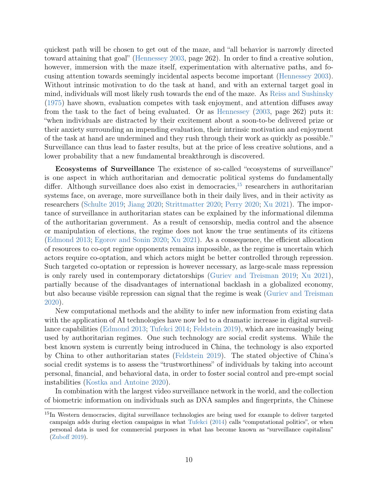quickest path will be chosen to get out of the maze, and "all behavior is narrowly directed toward attaining that goal" [\(Hennessey](#page-21-11) [2003,](#page-21-11) page 262). In order to find a creative solution, however, immersion with the maze itself, experimentation with alternative paths, and focusing attention towards seemingly incidental aspects become important [\(Hennessey](#page-21-11) [2003\)](#page-21-11). Without intrinsic motivation to do the task at hand, and with an external target goal in mind, individuals will most likely rush towards the end of the maze. As [Reiss and Sushinsky](#page-25-6) [\(1975\)](#page-25-6) have shown, evaluation competes with task enjoyment, and attention diffuses away from the task to the fact of being evaluated. Or as [Hennessey](#page-21-11) [\(2003,](#page-21-11) page 262) puts it: "when individuals are distracted by their excitement about a soon-to-be delivered prize or their anxiety surrounding an impending evaluation, their intrinsic motivation and enjoyment of the task at hand are undermined and they rush through their work as quickly as possible." Surveillance can thus lead to faster results, but at the price of less creative solutions, and a lower probability that a new fundamental breakthrough is discovered.

Ecosystems of Surveillance The existence of so-called "ecosystems of surveillance" is one aspect in which authoritarian and democratic political systems do fundamentally differ. Although surveillance does also exist in democracies,  $^{15}$  $^{15}$  $^{15}$  researchers in authoritarian systems face, on average, more surveillance both in their daily lives, and in their activity as researchers [\(Schulte](#page-26-7) [2019;](#page-26-7) [Jiang](#page-22-10) [2020;](#page-22-10) [Strittmatter](#page-27-4) [2020;](#page-27-4) [Perry](#page-25-5) [2020;](#page-25-5) [Xu](#page-28-1) [2021\)](#page-28-1). The importance of surveillance in authoritarian states can be explained by the informational dilemma of the authoritarian government. As a result of censorship, media control and the absence or manipulation of elections, the regime does not know the true sentiments of its citizens [\(Edmond](#page-20-9) [2013;](#page-20-9) [Egorov and Sonin](#page-20-2) [2020;](#page-20-2) [Xu](#page-28-1) [2021\)](#page-28-1). As a consequence, the efficient allocation of resources to co-opt regime opponents remains impossible, as the regime is uncertain which actors require co-optation, and which actors might be better controlled through repression. Such targeted co-optation or repression is however necessary, as large-scale mass repression is only rarely used in contemporary dictatorships [\(Guriev and Treisman](#page-21-4) [2019;](#page-21-4) [Xu](#page-28-1) [2021\)](#page-28-1), partially because of the disadvantages of international backlash in a globalized economy, but also because visible repression can signal that the regime is weak [\(Guriev and Treisman](#page-21-5) [2020\)](#page-21-5).

New computational methods and the ability to infer new information from existing data with the application of AI technologies have now led to a dramatic increase in digital surveillance capabilities [\(Edmond](#page-20-9) [2013;](#page-20-9) [Tufekci](#page-27-12) [2014;](#page-27-12) [Feldstein](#page-21-1) [2019\)](#page-21-1), which are increasingly being used by authoritarian regimes. One such technology are social credit systems. While the best known system is currently being introduced in China, the technology is also exported by China to other authoritarian states [\(Feldstein](#page-21-1) [2019\)](#page-21-1). The stated objective of China's social credit systems is to assess the "trustworthiness" of individuals by taking into account personal, financial, and behavioral data, in order to foster social control and pre-empt social instabilities [\(Kostka and Antoine](#page-23-9) [2020\)](#page-23-9).

In combination with the largest video surveillance network in the world, and the collection of biometric information on individuals such as DNA samples and fingerprints, the Chinese

<span id="page-10-0"></span><sup>&</sup>lt;sup>15</sup>In Western democracies, digital surveillance technologies are being used for example to deliver targeted campaign adds during election campaigns in what [Tufekci](#page-27-12) [\(2014\)](#page-27-12) calls "computational politics", or when personal data is used for commercial purposes in what has become known as "surveillance capitalism" [\(Zuboff](#page-28-3) [2019\)](#page-28-3).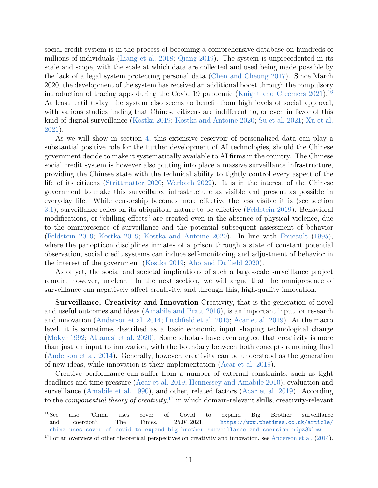social credit system is in the process of becoming a comprehensive database on hundreds of millions of individuals [\(Liang et al.](#page-24-10) [2018;](#page-24-10) [Qiang](#page-25-4) [2019\)](#page-25-4). The system is unprecedented in its scale and scope, with the scale at which data are collected and used being made possible by the lack of a legal system protecting personal data [\(Chen and Cheung](#page-20-1) [2017\)](#page-20-1). Since March 2020, the development of the system has received an additional boost through the compulsory introduction of tracing apps during the Covid 19 pandemic [\(Knight and Creemers](#page-23-11) [2021\)](#page-23-11).<sup>[16](#page-11-0)</sup> At least until today, the system also seems to benefit from high levels of social approval, with various studies finding that Chinese citizens are indifferent to, or even in favor of this kind of digital surveillance [\(Kostka](#page-23-8) [2019;](#page-23-8) [Kostka and Antoine](#page-23-9) [2020;](#page-23-9) [Su et al.](#page-27-13) [2021;](#page-27-13) [Xu et al.](#page-28-4) [2021\)](#page-28-4).

As we will show in section [4,](#page-14-0) this extensive reservoir of personalized data can play a substantial positive role for the further development of AI technologies, should the Chinese government decide to make it systematically available to AI firms in the country. The Chinese social credit system is however also putting into place a massive surveillance infrastructure, providing the Chinese state with the technical ability to tightly control every aspect of the life of its citizens [\(Strittmatter](#page-27-4) [2020;](#page-27-4) [Werbach](#page-27-14) [2022\)](#page-27-14). It is in the interest of the Chinese government to make this surveillance infrastructure as visible and present as possible in everyday life. While censorship becomes more effective the less visible it is (see section [3.1\)](#page-6-3), surveillance relies on its ubiquitous nature to be effective [\(Feldstein](#page-21-1) [2019\)](#page-21-1). Behavioral modifications, or "chilling effects" are created even in the absence of physical violence, due to the omnipresence of surveillance and the potential subsequent assessment of behavior [\(Feldstein](#page-21-1) [2019;](#page-21-1) [Kostka](#page-23-8) [2019;](#page-23-8) [Kostka and Antoine](#page-23-9) [2020\)](#page-23-9). In line with [Foucault](#page-21-12) [\(1995\)](#page-21-12), where the panopticon disciplines inmates of a prison through a state of constant potential observation, social credit systems can induce self-monitoring and adjustment of behavior in the interest of the government [\(Kostka](#page-23-8) [2019;](#page-23-8) [Aho and Duffield](#page-19-6) [2020\)](#page-19-6).

As of yet, the social and societal implications of such a large-scale surveillance project remain, however, unclear. In the next section, we will argue that the omnipresence of surveillance can negatively affect creativity, and through this, high-quality innovation.

Surveillance, Creativity and Innovation Creativity, that is the generation of novel and useful outcomes and ideas [\(Amabile and Pratt](#page-19-7) [2016\)](#page-19-7), is an important input for research and innovation [\(Anderson et al.](#page-19-8) [2014;](#page-19-8) [Litchfield et al.](#page-24-11) [2015;](#page-24-11) [Acar et al.](#page-19-9) [2019\)](#page-19-9). At the macro level, it is sometimes described as a basic economic input shaping technological change [\(Mokyr](#page-24-12) [1992;](#page-24-12) [Attanasi et al.](#page-19-10) [2020\)](#page-19-10). Some scholars have even argued that creativity is more than just an input to innovation, with the boundary between both concepts remaining fluid [\(Anderson et al.](#page-19-8) [2014\)](#page-19-8). Generally, however, creativity can be understood as the generation of new ideas, while innovation is their implementation [\(Acar et al.](#page-19-9) [2019\)](#page-19-9).

Creative performance can suffer from a number of external constraints, such as tight deadlines and time pressure [\(Acar et al.](#page-19-9) [2019;](#page-19-9) [Hennessey and Amabile](#page-22-11) [2010\)](#page-22-11), evaluation and surveillance [\(Amabile et al.](#page-19-11) [1990\)](#page-19-11), and other, related factors [\(Acar et al.](#page-19-9) [2019\)](#page-19-9). According to the *componential theory of creativity*,<sup>[17](#page-11-1)</sup> in which domain-relevant skills, creativity-relevant

<span id="page-11-0"></span><sup>16</sup>See also "China uses cover of Covid to expand Big Brother surveillance and coercion", The Times,  $25.04.2021$ , [https://www.thetimes.co.uk/article/](https://www.thetimes.co.uk/article/china-uses-cover-of-covid-to-expand-big-brother-surveillance-and-coercion-ndpz3klmw) [china-uses-cover-of-covid-to-expand-big-brother-surveillance-and-coercion-ndpz3klmw](https://www.thetimes.co.uk/article/china-uses-cover-of-covid-to-expand-big-brother-surveillance-and-coercion-ndpz3klmw).

<span id="page-11-1"></span> $17$  For an overview of other theoretical perspectives on creativity and innovation, see [Anderson et al.](#page-19-8) [\(2014\)](#page-19-8).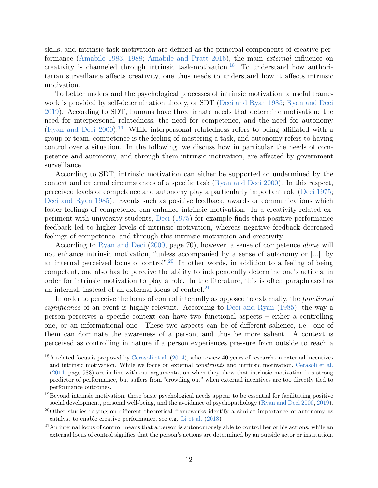skills, and intrinsic task-motivation are defined as the principal components of creative performance [\(Amabile](#page-19-12) [1983,](#page-19-12) [1988;](#page-19-13) [Amabile and Pratt](#page-19-7) [2016\)](#page-19-7), the main external influence on creativity is channeled through intrinsic task-motivation.<sup>[18](#page-12-0)</sup> To understand how authoritarian surveillance affects creativity, one thus needs to understand how it affects intrinsic motivation.

To better understand the psychological processes of intrinsic motivation, a useful framework is provided by self-determination theory, or SDT [\(Deci and Ryan](#page-20-10) [1985;](#page-20-10) [Ryan and Deci](#page-26-9) [2019\)](#page-26-9). According to SDT, humans have three innate needs that determine motivation: the need for interpersonal relatedness, the need for competence, and the need for autonomy [\(Ryan and Deci](#page-26-10) [2000\)](#page-26-10).<sup>[19](#page-12-1)</sup> While interpersonal relatedness refers to being affiliated with a group or team, competence is the feeling of mastering a task, and autonomy refers to having control over a situation. In the following, we discuss how in particular the needs of competence and autonomy, and through them intrinsic motivation, are affected by government surveillance.

According to SDT, intrinsic motivation can either be supported or undermined by the context and external circumstances of a specific task [\(Ryan and Deci](#page-26-10) [2000\)](#page-26-10). In this respect, perceived levels of competence and autonomy play a particularly important role [\(Deci](#page-20-11) [1975;](#page-20-11) [Deci and Ryan](#page-20-10) [1985\)](#page-20-10). Events such as positive feedback, awards or communications which foster feelings of competence can enhance intrinsic motivation. In a creativity-related experiment with university students, [Deci](#page-20-11) [\(1975\)](#page-20-11) for example finds that positive performance feedback led to higher levels of intrinsic motivation, whereas negative feedback decreased feelings of competence, and through this intrinsic motivation and creativity.

According to [Ryan and Deci](#page-26-10) [\(2000,](#page-26-10) page 70), however, a sense of competence *alone* will not enhance intrinsic motivation, "unless accompanied by a sense of autonomy or [...] by an internal perceived locus of control".<sup>[20](#page-12-2)</sup> In other words, in addition to a feeling of being competent, one also has to perceive the ability to independently determine one's actions, in order for intrinsic motivation to play a role. In the literature, this is often paraphrased as an internal, instead of an external locus of control. $^{21}$  $^{21}$  $^{21}$ 

In order to perceive the locus of control internally as opposed to externally, the *functional* significance of an event is highly relevant. According to [Deci and Ryan](#page-20-10) [\(1985\)](#page-20-10), the way a person perceives a specific context can have two functional aspects – either a controlling one, or an informational one. These two aspects can be of different salience, i.e. one of them can dominate the awareness of a person, and thus be more salient. A context is perceived as controlling in nature if a person experiences pressure from outside to reach a

<span id="page-12-0"></span><sup>&</sup>lt;sup>18</sup>A related focus is proposed by [Cerasoli et al.](#page-20-12)  $(2014)$ , who review 40 years of research on external incentives and intrinsic motivation. While we focus on external constraints and intrinsic motivation, [Cerasoli et al.](#page-20-12) [\(2014,](#page-20-12) page 983) are in line with our argumentation when they show that intrinsic motivation is a strong predictor of performance, but suffers from "crowding out" when external incentives are too directly tied to performance outcomes.

<span id="page-12-1"></span><sup>&</sup>lt;sup>19</sup>Beyond intrinsic motivation, these basic psychological needs appear to be essential for facilitating positive social development, personal well-being, and the avoidance of psychopathology [\(Ryan and Deci](#page-26-10) [2000,](#page-26-10) [2019\)](#page-26-9).

<span id="page-12-2"></span><sup>20</sup>Other studies relying on different theoretical frameworks identify a similar importance of autonomy as catalyst to enable creative performance, see e.g. [Li et al.](#page-24-13) [\(2018\)](#page-24-13)

<span id="page-12-3"></span> $21$ An internal locus of control means that a person is autonomously able to control her or his actions, while an external locus of control signifies that the person's actions are determined by an outside actor or institution.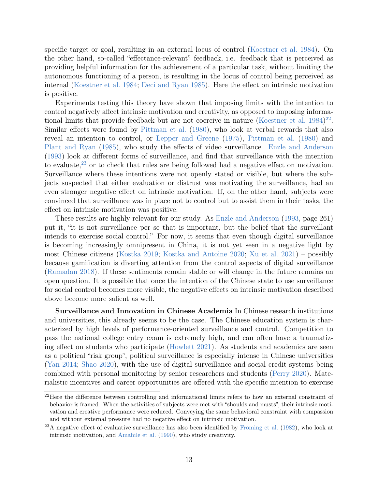specific target or goal, resulting in an external locus of control [\(Koestner et al.](#page-23-12) [1984\)](#page-23-12). On the other hand, so-called "effectance-relevant" feedback, i.e. feedback that is perceived as providing helpful information for the achievement of a particular task, without limiting the autonomous functioning of a person, is resulting in the locus of control being perceived as internal [\(Koestner et al.](#page-23-12) [1984;](#page-23-12) [Deci and Ryan](#page-20-10) [1985\)](#page-20-10). Here the effect on intrinsic motivation is positive.

Experiments testing this theory have shown that imposing limits with the intention to control negatively affect intrinsic motivation and creativity, as opposed to imposing informa-tional limits that provide feedback but are not coercive in nature [\(Koestner et al.](#page-23-12)  $1984)^{22}$  $1984)^{22}$  $1984)^{22}$  $1984)^{22}$ . Similar effects were found by [Pittman et al.](#page-25-7) [\(1980\)](#page-25-7), who look at verbal rewards that also reveal an intention to control, or [Lepper and Greene](#page-23-13) [\(1975\)](#page-23-13), [Pittman et al.](#page-25-7) [\(1980\)](#page-25-7) and [Plant and Ryan](#page-25-8) [\(1985\)](#page-25-8), who study the effects of video surveillance. [Enzle and Anderson](#page-21-13) [\(1993\)](#page-21-13) look at different forms of surveillance, and find that surveillance with the intention to evaluate,  $23$  or to check that rules are being followed had a negative effect on motivation. Surveillance where these intentions were not openly stated or visible, but where the subjects suspected that either evaluation or distrust was motivating the surveillance, had an even stronger negative effect on intrinsic motivation. If, on the other hand, subjects were convinced that surveillance was in place not to control but to assist them in their tasks, the effect on intrinsic motivation was positive.

These results are highly relevant for our study. As [Enzle and Anderson](#page-21-13) [\(1993,](#page-21-13) page 261) put it, "it is not surveillance per se that is important, but the belief that the surveillant intends to exercise social control." For now, it seems that even though digital surveillance is becoming increasingly omnipresent in China, it is not yet seen in a negative light by most Chinese citizens [\(Kostka](#page-23-8) [2019;](#page-23-8) [Kostka and Antoine](#page-23-9) [2020;](#page-23-9) [Xu et al.](#page-28-4) [2021\)](#page-28-4) – possibly because gamification is diverting attention from the control aspects of digital surveillance [\(Ramadan](#page-25-9) [2018\)](#page-25-9). If these sentiments remain stable or will change in the future remains an open question. It is possible that once the intention of the Chinese state to use surveillance for social control becomes more visible, the negative effects on intrinsic motivation described above become more salient as well.

Surveillance and Innovation in Chinese Academia In Chinese research institutions and universities, this already seems to be the case. The Chinese education system is characterized by high levels of performance-oriented surveillance and control. Competition to pass the national college entry exam is extremely high, and can often have a traumatizing effect on students who participate [\(Howlett](#page-22-12) [2021\)](#page-22-12). As students and academics are seen as a political "risk group", political surveillance is especially intense in Chinese universities [\(Yan](#page-28-5) [2014;](#page-28-5) [Shao](#page-26-11) [2020\)](#page-26-11), with the use of digital surveillance and social credit systems being combined with personal monitoring by senior researchers and students [\(Perry](#page-25-5) [2020\)](#page-25-5). Materialistic incentives and career opportunities are offered with the specific intention to exercise

<span id="page-13-0"></span><sup>&</sup>lt;sup>22</sup>Here the difference between controlling and informational limits refers to how an external constraint of behavior is framed. When the activities of subjects were met with "shoulds and musts", their intrinsic motivation and creative performance were reduced. Conveying the same behavioral constraint with compassion and without external pressure had no negative effect on intrinsic motivation.

<span id="page-13-1"></span><sup>&</sup>lt;sup>23</sup>A negative effect of evaluative surveillance has also been identified by [Froming et al.](#page-21-14) [\(1982\)](#page-21-14), who look at intrinsic motivation, and [Amabile et al.](#page-19-11) [\(1990\)](#page-19-11), who study creativity.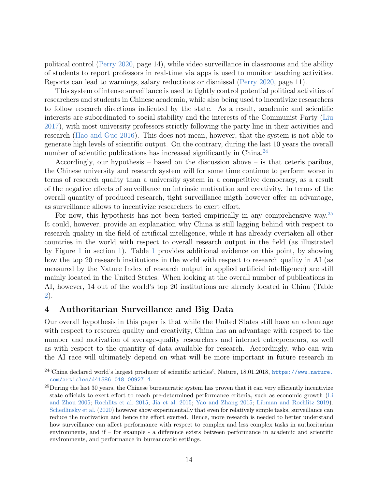political control [\(Perry](#page-25-5) [2020,](#page-25-5) page 14), while video surveillance in classrooms and the ability of students to report professors in real-time via apps is used to monitor teaching activities. Reports can lead to warnings, salary reductions or dismissal [\(Perry](#page-25-5) [2020,](#page-25-5) page 11).

This system of intense surveillance is used to tightly control potential political activities of researchers and students in Chinese academia, while also being used to incentivize researchers to follow research directions indicated by the state. As a result, academic and scientific interests are subordinated to social stability and the interests of the Communist Party [\(Liu](#page-24-14) [2017\)](#page-24-14), with most university professors strictly following the party line in their activities and research [\(Hao and Guo](#page-21-15) [2016\)](#page-21-15). This does not mean, however, that the system is not able to generate high levels of scientific output. On the contrary, during the last 10 years the overall number of scientific publications has increased significantly in China.<sup>[24](#page-14-1)</sup>

Accordingly, our hypothesis – based on the discussion above – is that ceteris paribus, the Chinese university and research system will for some time continue to perform worse in terms of research quality than a university system in a competitive democracy, as a result of the negative effects of surveillance on intrinsic motivation and creativity. In terms of the overall quantity of produced research, tight surveillance migth however offer an advantage, as surveillance allows to incentivize researchers to exert effort.

For now, this hypothesis has not been tested empirically in any comprehensive way.<sup>[25](#page-14-2)</sup> It could, however, provide an explanation why China is still lagging behind with respect to research quality in the field of artificial intelligence, while it has already overtaken all other countries in the world with respect to overall research output in the field (as illustrated by Figure [1](#page-2-0) in section [1\)](#page-1-3). Table [1](#page-15-0) provides additional evidence on this point, by showing how the top 20 research institutions in the world with respect to research quality in AI (as measured by the Nature Index of research output in applied artificial intelligence) are still mainly located in the United States. When looking at the overall number of publications in AI, however, 14 out of the world's top 20 institutions are already located in China (Table [2\)](#page-15-1).

## <span id="page-14-0"></span>4 Authoritarian Surveillance and Big Data

Our overall hypothesis in this paper is that while the United States still have an advantage with respect to research quality and creativity, China has an advantage with respect to the number and motivation of average-quality researchers and internet entrepreneurs, as well as with respect to the quantity of data available for research. Accordingly, who can win the AI race will ultimately depend on what will be more important in future research in

<span id="page-14-1"></span><sup>24</sup>"China declared world's largest producer of scientific articles", Nature, 18.01.2018, [https://www.nature.](https://www.nature.com/articles/d41586-018-00927-4) [com/articles/d41586-018-00927-4](https://www.nature.com/articles/d41586-018-00927-4).

<span id="page-14-2"></span><sup>&</sup>lt;sup>25</sup>During the last 30 years, the Chinese bureaucratic system has proven that it can very efficiently incentivize state officials to exert effort to reach pre-determined performance criteria, such as economic growth [\(Li](#page-24-15) [and Zhou](#page-24-15) [2005;](#page-24-15) [Rochlitz et al.](#page-25-10) [2015;](#page-25-10) [Jia et al.](#page-22-13) [2015;](#page-22-13) [Yao and Zhang](#page-28-6) [2015;](#page-28-6) [Libman and Rochlitz](#page-24-7) [2019\)](#page-24-7). [Schedlinsky et al.](#page-26-12) [\(2020\)](#page-26-12) however show experimentally that even for relatively simple tasks, surveillance can reduce the motivation and hence the effort exerted. Hence, more research is needed to better understand how surveillance can affect performance with respect to complex and less complex tasks in authoritarian environments, and if – for example - a difference exists between performance in academic and scientific environments, and performance in bureaucratic settings.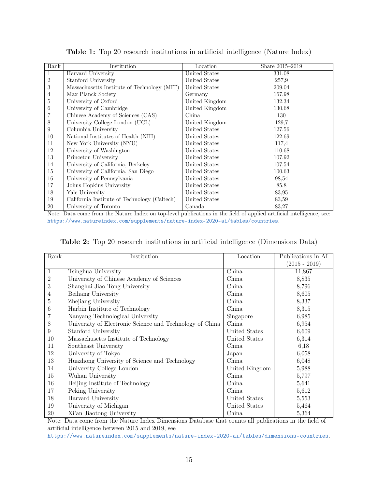<span id="page-15-0"></span>

| Rank | Institution                                  | Location       | Share 2015-2019 |
|------|----------------------------------------------|----------------|-----------------|
| 1    | Harvard University                           | United States  | 331,08          |
| 2    | Stanford University                          | United States  | 257.9           |
| 3    | Massachusetts Institute of Technology (MIT)  | United States  | 209,04          |
| 4    | Max Planck Society                           | Germany        | 167,98          |
| 5    | University of Oxford                         | United Kingdom | 132,34          |
| 6    | University of Cambridge                      | United Kingdom | 130,68          |
|      | Chinese Academy of Sciences (CAS)            | China          | 130             |
| 8    | University College London (UCL)              | United Kingdom | 129,7           |
| 9    | Columbia University                          | United States  | 127,56          |
| 10   | National Institutes of Health (NIH)          | United States  | 122,69          |
| 11   | New York University (NYU)                    | United States  | 117,4           |
| 12   | University of Washington                     | United States  | 110.68          |
| 13   | Princeton University                         | United States  | 107,92          |
| 14   | University of California, Berkeley           | United States  | 107,54          |
| 15   | University of California, San Diego          | United States  | 100,63          |
| 16   | University of Pennsylvania                   | United States  | 98,54           |
| 17   | Johns Hopkins University                     | United States  | 85,8            |
| 18   | Yale University                              | United States  | 83,95           |
| 19   | California Institute of Technology (Caltech) | United States  | 83,59           |
| 20   | University of Toronto                        | Canada         | 83,27           |

Table 1: Top 20 research institutions in artificial intelligence (Nature Index)

Note: Data come from the Nature Index on top-level publications in the field of applied artificial intelligence, see: <https://www.natureindex.com/supplements/nature-index-2020-ai/tables/countries>.

|  |  |  |  | Table 2: Top 20 research institutions in artificial intelligence (Dimensions Data) |  |
|--|--|--|--|------------------------------------------------------------------------------------|--|
|  |  |  |  |                                                                                    |  |

<span id="page-15-1"></span>

| Rank           | Institution                                              | Location       | Publications in AI |
|----------------|----------------------------------------------------------|----------------|--------------------|
|                |                                                          |                | $(2015 - 2019)$    |
| $\mathbf{1}$   | Tsinghua University                                      | China          | 11,867             |
| $\overline{2}$ | University of Chinese Academy of Sciences                | China          | 8,835              |
| 3              | Shanghai Jiao Tong University                            | China          | 8,796              |
| 4              | Beihang University                                       | China          | 8,605              |
| 5              | Zhejiang University                                      | China          | 8,337              |
| 6              | Harbin Institute of Technology                           | China          | 8,315              |
|                | Nanyang Technological University                         | Singapore      | 6,985              |
| 8              | University of Electronic Science and Technology of China | China          | 6,954              |
| 9              | Stanford University                                      | United States  | 6,609              |
| 10             | Massachusetts Institute of Technology                    | United States  | 6,314              |
| 11             | Southeast University                                     | China          | 6,18               |
| 12             | University of Tokyo                                      | Japan          | 6,058              |
| 13             | Huazhong University of Science and Technology            | China          | 6,048              |
| 14             | University College London                                | United Kingdom | 5,988              |
| 15             | Wuhan University                                         | China          | 5,797              |
| 16             | Beijing Institute of Technology                          | China          | 5,641              |
| 17             | Peking University                                        | China          | 5,612              |
| 18             | Harvard University                                       | United States  | 5,553              |
| 19             | University of Michigan                                   | United States  | 5,464              |
| 20             | Xi'an Jiaotong University                                | China          | 5,364              |

Note: Data come from the Nature Index Dimensions Database that counts all publications in the field of artificial intelligence between 2015 and 2019, see

<https://www.natureindex.com/supplements/nature-index-2020-ai/tables/dimensions-countries>.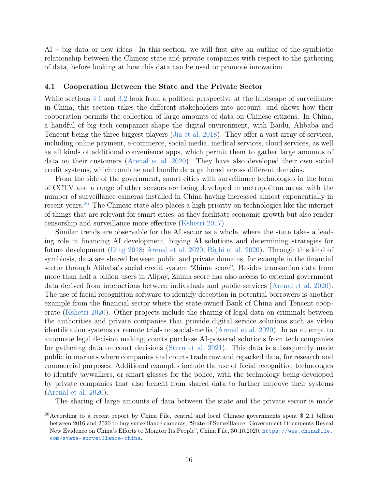AI – big data or new ideas. In this section, we will first give an outline of the symbiotic relationship between the Chinese state and private companies with respect to the gathering of data, before looking at how this data can be used to promote innovation.

#### 4.1 Cooperation Between the State and the Private Sector

While sections [3.1](#page-6-3) and [3.2](#page-9-1) look from a political perspective at the landscape of surveillance in China, this section takes the different stakeholders into account, and shows how their cooperation permits the collection of large amounts of data on Chinese citizens. In China, a handful of big tech companies shape the digital environment, with Baidu, Alibaba and Tencent being the three biggest players [\(Jia et al.](#page-22-14) [2018\)](#page-22-14). They offer a vast array of services, including online payment, e-commerce, social media, medical services, cloud services, as well as all kinds of additional convenience apps, which permit them to gather large amounts of data on their customers [\(Arenal et al.](#page-19-14) [2020\)](#page-19-14). They have also developed their own social credit systems, which combine and bundle data gathered across different domains.

From the side of the government, smart cities with surveillance technologies in the form of CCTV and a range of other sensors are being developed in metropolitan areas, with the number of surveillance cameras installed in China having increased almost exponentially in recent years.<sup>[26](#page-16-0)</sup> The Chinese state also places a high priority on technologies like the internet of things that are relevant for smart cities, as they facilitate economic growth but also render censorship and surveillance more effective [\(Kshetri](#page-23-4) [2017\)](#page-23-4).

Similar trends are observable for the AI sector as a whole, where the state takes a leading role in financing AI development, buying AI solutions and determining strategies for future development [\(Ding](#page-20-13) [2018;](#page-20-13) [Arenal et al.](#page-19-14) [2020;](#page-19-14) [Righi et al.](#page-25-11) [2020\)](#page-25-11). Through this kind of symbiosis, data are shared between public and private domains, for example in the financial sector through Alibaba's social credit system "Zhima score". Besides transaction data from more than half a billion users in Alipay, Zhima score has also access to external government data derived from interactions between individuals and public services [\(Arenal et al.](#page-19-14) [2020\)](#page-19-14). The use of facial recognition software to identify deception in potential borrowers is another example from the financial sector where the state-owned Bank of China and Tencent cooperate [\(Kshetri](#page-23-14) [2020\)](#page-23-14). Other projects include the sharing of legal data on criminals between the authorities and private companies that provide digital service solutions such as video identification systems or remote trials on social-media [\(Arenal et al.](#page-19-14) [2020\)](#page-19-14). In an attempt to automate legal decision making, courts purchase AI-powered solutions from tech companies for gathering data on court decisions [\(Stern et al.](#page-27-15) [2021\)](#page-27-15). This data is subsequently made public in markets where companies and courts trade raw and repacked data, for research and commercial purposes. Additional examples include the use of facial recognition technologies to identify jaywalkers, or smart glasses for the police, with the technology being developed by private companies that also benefit from shared data to further improve their systems [\(Arenal et al.](#page-19-14) [2020\)](#page-19-14).

The sharing of large amounts of data between the state and the private sector is made

<span id="page-16-0"></span><sup>&</sup>lt;sup>26</sup> According to a recent report by China File, central and local Chinese governments spent \$ 2.1 billion between 2016 and 2020 to buy surveillance cameras, "State of Surveillance: Government Documents Reveal New Evidence on China's Efforts to Monitor Its People", China File, 30.10.2020, [https://www.chinafile.](https://www.chinafile.com/state-surveillance-china) [com/state-surveillance-china](https://www.chinafile.com/state-surveillance-china).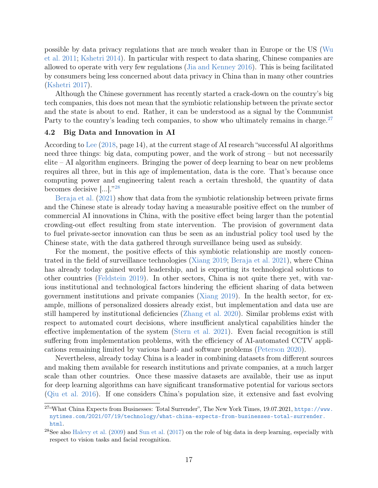possible by data privacy regulations that are much weaker than in Europe or the US [\(Wu](#page-28-7) [et al.](#page-28-7) [2011;](#page-28-7) [Kshetri](#page-23-6) [2014\)](#page-23-6). In particular with respect to data sharing, Chinese companies are allowed to operate with very few regulations [\(Jia and Kenney](#page-22-15) [2016\)](#page-22-15). This is being facilitated by consumers being less concerned about data privacy in China than in many other countries [\(Kshetri](#page-23-4) [2017\)](#page-23-4).

Although the Chinese government has recently started a crack-down on the country's big tech companies, this does not mean that the symbiotic relationship between the private sector and the state is about to end. Rather, it can be understood as a signal by the Communist Party to the country's leading tech companies, to show who ultimately remains in charge.<sup>[27](#page-17-0)</sup>

#### 4.2 Big Data and Innovation in AI

According to [Lee](#page-23-3) [\(2018,](#page-23-3) page 14), at the current stage of AI research "successful AI algorithms need three things: big data, computing power, and the work of strong – but not necessarily elite – AI algorithm engineers. Bringing the power of deep learning to bear on new problems requires all three, but in this age of implementation, data is the core. That's because once computing power and engineering talent reach a certain threshold, the quantity of data becomes decisive [...]." [28](#page-17-1)

[Beraja et al.](#page-19-1) [\(2021\)](#page-19-1) show that data from the symbiotic relationship between private firms and the Chinese state is already today having a measurable positive effect on the number of commercial AI innovations in China, with the positive effect being larger than the potential crowding-out effect resulting from state intervention. The provision of government data to fuel private-sector innovation can thus be seen as an industrial policy tool used by the Chinese state, with the data gathered through surveillance being used as subsidy.

For the moment, the positive effects of this symbiotic relationship are mostly concentrated in the field of surveillance technologies [\(Xiang](#page-28-2) [2019;](#page-28-2) [Beraja et al.](#page-19-1) [2021\)](#page-19-1), where China has already today gained world leadership, and is exporting its technological solutions to other countries [\(Feldstein](#page-21-1) [2019\)](#page-21-1). In other sectors, China is not quite there yet, with various institutional and technological factors hindering the efficient sharing of data between government institutions and private companies [\(Xiang](#page-28-2) [2019\)](#page-28-2). In the health sector, for example, millions of personalized dossiers already exist, but implementation and data use are still hampered by institutional deficiencies [\(Zhang et al.](#page-28-8) [2020\)](#page-28-8). Similar problems exist with respect to automated court decisions, where insufficient analytical capabilities hinder the effective implementation of the system [\(Stern et al.](#page-27-15) [2021\)](#page-27-15). Even facial recognition is still suffering from implementation problems, with the efficiency of AI-automated CCTV applications remaining limited by various hard- and software problems [\(Peterson](#page-25-12) [2020\)](#page-25-12).

Nevertheless, already today China is a leader in combining datasets from different sources and making them available for research institutions and private companies, at a much larger scale than other countries. Once these massive datasets are available, their use as input for deep learning algorithms can have significant transformative potential for various sectors [\(Qiu et al.](#page-25-13) [2016\)](#page-25-13). If one considers China's population size, it extensive and fast evolving

<span id="page-17-0"></span><sup>27</sup>"What China Expects from Businesses: Total Surrender", The New York Times, 19.07.2021, [https://www.](https://www.nytimes.com/2021/07/19/technology/what-china-expects-from-businesses-total-surrender.html) [nytimes.com/2021/07/19/technology/what-china-expects-from-businesses-total-surrender.](https://www.nytimes.com/2021/07/19/technology/what-china-expects-from-businesses-total-surrender.html) [html](https://www.nytimes.com/2021/07/19/technology/what-china-expects-from-businesses-total-surrender.html).

<span id="page-17-1"></span><sup>&</sup>lt;sup>28</sup>See also [Halevy et al.](#page-21-0) [\(2009\)](#page-21-0) and [Sun et al.](#page-27-3) [\(2017\)](#page-27-3) on the role of big data in deep learning, especially with respect to vision tasks and facial recognition.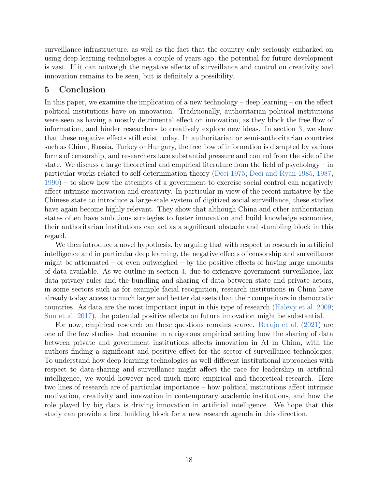surveillance infrastructure, as well as the fact that the country only seriously embarked on using deep learning technologies a couple of years ago, the potential for future development is vast. If it can outweigh the negative effects of surveillance and control on creativity and innovation remains to be seen, but is definitely a possibility.

## <span id="page-18-0"></span>5 Conclusion

In this paper, we examine the implication of a new technology – deep learning – on the effect political institutions have on innovation. Traditionally, authoritarian political institutions were seen as having a mostly detrimental effect on innovation, as they block the free flow of information, and hinder researchers to creatively explore new ideas. In section [3,](#page-6-0) we show that these negative effects still exist today. In authoritarian or semi-authoritarian countries such as China, Russia, Turkey or Hungary, the free flow of information is disrupted by various forms of censorship, and researchers face substantial pressure and control from the side of the state. We discuss a large theoretical and empirical literature from the field of psychology – in particular works related to self-determination theory [\(Deci](#page-20-11) [1975;](#page-20-11) [Deci and Ryan](#page-20-10) [1985,](#page-20-10) [1987,](#page-20-14) [1990\)](#page-20-15) – to show how the attempts of a government to exercise social control can negatively affect intrinsic motivation and creativity. In particular in view of the recent initiative by the Chinese state to introduce a large-scale system of digitized social surveillance, these studies have again become highly relevant. They show that although China and other authoritarian states often have ambitious strategies to foster innovation and build knowledge economies, their authoritarian institutions can act as a significant obstacle and stumbling block in this regard.

We then introduce a novel hypothesis, by arguing that with respect to research in artificial intelligence and in particular deep learning, the negative effects of censorship and surveillance might be attenuated – or even outweighed – by the positive effects of having large amounts of data available. As we outline in section [4,](#page-14-0) due to extensive government surveillance, lax data privacy rules and the bundling and sharing of data between state and private actors, in some sectors such as for example facial recognition, research institutions in China have already today access to much larger and better datasets than their competitors in democratic countries. As data are the most important input in this type of research [\(Halevy et al.](#page-21-0) [2009;](#page-21-0) [Sun et al.](#page-27-3) [2017\)](#page-27-3), the potential positive effects on future innovation might be substantial.

For now, empirical research on these questions remains scarce. [Beraja et al.](#page-19-1) [\(2021\)](#page-19-1) are one of the few studies that examine in a rigorous empirical setting how the sharing of data between private and government institutions affects innovation in AI in China, with the authors finding a significant and positive effect for the sector of surveillance technologies. To understand how deep learning technologies as well different institutional approaches with respect to data-sharing and surveillance might affect the race for leadership in artificial intelligence, we would however need much more empirical and theoretical research. Here two lines of research are of particular importance – how political institutions affect intrinsic motivation, creativity and innovation in contemporary academic institutions, and how the role played by big data is driving innovation in artificial intelligence. We hope that this study can provide a first building block for a new research agenda in this direction.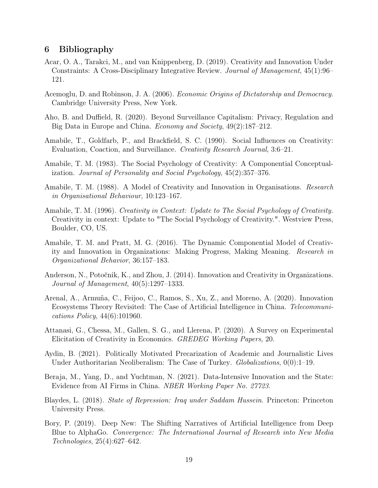## 6 Bibliography

- <span id="page-19-9"></span>Acar, O. A., Tarakci, M., and van Knippenberg, D. (2019). Creativity and Innovation Under Constraints: A Cross-Disciplinary Integrative Review. Journal of Management, 45(1):96– 121.
- <span id="page-19-3"></span>Acemoglu, D. and Robinson, J. A. (2006). Economic Origins of Dictatorship and Democracy. Cambridge University Press, New York.
- <span id="page-19-6"></span>Aho, B. and Duffield, R. (2020). Beyond Surveillance Capitalism: Privacy, Regulation and Big Data in Europe and China. Economy and Society, 49(2):187–212.
- <span id="page-19-11"></span>Amabile, T., Goldfarb, P., and Brackfield, S. C. (1990). Social Influences on Creativity: Evaluation, Coaction, and Surveillance. Creativity Research Journal, 3:6–21.
- <span id="page-19-12"></span>Amabile, T. M. (1983). The Social Psychology of Creativity: A Componential Conceptualization. Journal of Personality and Social Psychology, 45(2):357–376.
- <span id="page-19-13"></span>Amabile, T. M. (1988). A Model of Creativity and Innovation in Organisations. *Research* in Organisational Behaviour, 10:123–167.
- <span id="page-19-5"></span>Amabile, T. M. (1996). *Creativity in Context: Update to The Social Psychology of Creativity.* Creativity in context: Update to "The Social Psychology of Creativity.". Westview Press, Boulder, CO, US.
- <span id="page-19-7"></span>Amabile, T. M. and Pratt, M. G. (2016). The Dynamic Componential Model of Creativity and Innovation in Organizations: Making Progress, Making Meaning. Research in Organizational Behavior, 36:157–183.
- <span id="page-19-8"></span>Anderson, N., Potočnik, K., and Zhou, J. (2014). Innovation and Creativity in Organizations. Journal of Management, 40(5):1297–1333.
- <span id="page-19-14"></span>Arenal, A., Armuña, C., Feijoo, C., Ramos, S., Xu, Z., and Moreno, A. (2020). Innovation Ecosystems Theory Revisited: The Case of Artificial Intelligence in China. Telecommunications Policy, 44(6):101960.
- <span id="page-19-10"></span>Attanasi, G., Chessa, M., Gallen, S. G., and Llerena, P. (2020). A Survey on Experimental Elicitation of Creativity in Economics. GREDEG Working Papers, 20.
- <span id="page-19-4"></span>Aydin, B. (2021). Politically Motivated Precarization of Academic and Journalistic Lives Under Authoritarian Neoliberalism: The Case of Turkey. *Globalizations*,  $0(0)$ :1–19.
- <span id="page-19-1"></span>Beraja, M., Yang, D., and Yuchtman, N. (2021). Data-Intensive Innovation and the State: Evidence from AI Firms in China. NBER Working Paper No. 27723.
- <span id="page-19-2"></span>Blaydes, L. (2018). State of Repression: Iraq under Saddam Hussein. Princeton: Princeton University Press.
- <span id="page-19-0"></span>Bory, P. (2019). Deep New: The Shifting Narratives of Artificial Intelligence from Deep Blue to AlphaGo. Convergence: The International Journal of Research into New Media Technologies, 25(4):627–642.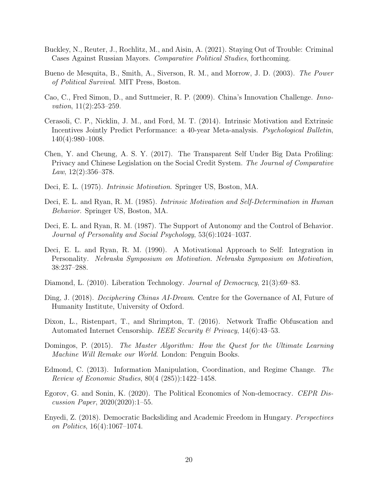- <span id="page-20-3"></span>Buckley, N., Reuter, J., Rochlitz, M., and Aisin, A. (2021). Staying Out of Trouble: Criminal Cases Against Russian Mayors. Comparative Political Studies, forthcoming.
- <span id="page-20-4"></span>Bueno de Mesquita, B., Smith, A., Siverson, R. M., and Morrow, J. D. (2003). The Power of Political Survival. MIT Press, Boston.
- <span id="page-20-8"></span>Cao, C., Fred Simon, D., and Suttmeier, R. P. (2009). China's Innovation Challenge. Innovation, 11(2):253-259.
- <span id="page-20-12"></span>Cerasoli, C. P., Nicklin, J. M., and Ford, M. T. (2014). Intrinsic Motivation and Extrinsic Incentives Jointly Predict Performance: a 40-year Meta-analysis. Psychological Bulletin, 140(4):980–1008.
- <span id="page-20-1"></span>Chen, Y. and Cheung, A. S. Y. (2017). The Transparent Self Under Big Data Profiling: Privacy and Chinese Legislation on the Social Credit System. The Journal of Comparative Law,  $12(2):356-378$ .
- <span id="page-20-11"></span>Deci, E. L. (1975). Intrinsic Motivation. Springer US, Boston, MA.
- <span id="page-20-10"></span>Deci, E. L. and Ryan, R. M. (1985). Intrinsic Motivation and Self-Determination in Human Behavior. Springer US, Boston, MA.
- <span id="page-20-14"></span>Deci, E. L. and Ryan, R. M. (1987). The Support of Autonomy and the Control of Behavior. Journal of Personality and Social Psychology, 53(6):1024–1037.
- <span id="page-20-15"></span>Deci, E. L. and Ryan, R. M. (1990). A Motivational Approach to Self: Integration in Personality. Nebraska Symposium on Motivation. Nebraska Symposium on Motivation, 38:237–288.
- <span id="page-20-6"></span>Diamond, L. (2010). Liberation Technology. Journal of Democracy, 21(3):69–83.
- <span id="page-20-13"></span>Ding, J. (2018). *Deciphering Chinas AI-Dream*. Centre for the Governance of AI, Future of Humanity Institute, University of Oxford.
- <span id="page-20-5"></span>Dixon, L., Ristenpart, T., and Shrimpton, T. (2016). Network Traffic Obfuscation and Automated Internet Censorship. IEEE Security & Privacy,  $14(6):43-53$ .
- <span id="page-20-0"></span>Domingos, P. (2015). The Master Algorithm: How the Quest for the Ultimate Learning Machine Will Remake our World. London: Penguin Books.
- <span id="page-20-9"></span>Edmond, C. (2013). Information Manipulation, Coordination, and Regime Change. The Review of Economic Studies, 80(4 (285)):1422–1458.
- <span id="page-20-2"></span>Egorov, G. and Sonin, K. (2020). The Political Economics of Non-democracy. CEPR Discussion Paper, 2020(2020):1–55.
- <span id="page-20-7"></span>Enyedi, Z. (2018). Democratic Backsliding and Academic Freedom in Hungary. Perspectives on Politics, 16(4):1067–1074.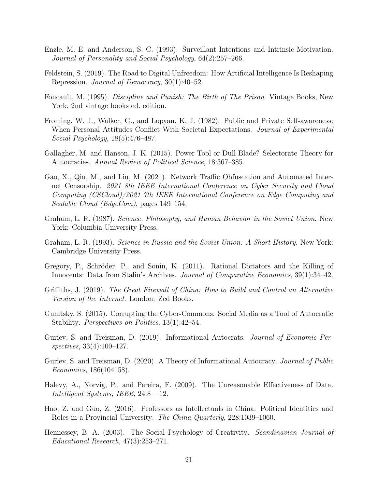- <span id="page-21-13"></span>Enzle, M. E. and Anderson, S. C. (1993). Surveillant Intentions and Intrinsic Motivation. Journal of Personality and Social Psychology, 64(2):257–266.
- <span id="page-21-1"></span>Feldstein, S. (2019). The Road to Digital Unfreedom: How Artificial Intelligence Is Reshaping Repression. Journal of Democracy, 30(1):40–52.
- <span id="page-21-12"></span>Foucault, M. (1995). Discipline and Punish: The Birth of The Prison. Vintage Books, New York, 2nd vintage books ed. edition.
- <span id="page-21-14"></span>Froming, W. J., Walker, G., and Lopyan, K. J. (1982). Public and Private Self-awareness: When Personal Attitudes Conflict With Societal Expectations. Journal of Experimental Social Psychology, 18(5):476–487.
- <span id="page-21-3"></span>Gallagher, M. and Hanson, J. K. (2015). Power Tool or Dull Blade? Selectorate Theory for Autocracies. Annual Review of Political Science, 18:367–385.
- <span id="page-21-7"></span>Gao, X., Qiu, M., and Liu, M. (2021). Network Traffic Obfuscation and Automated Internet Censorship. 2021 8th IEEE International Conference on Cyber Security and Cloud Computing (CSCloud)/2021 7th IEEE International Conference on Edge Computing and Scalable Cloud (EdgeCom), pages 149–154.
- <span id="page-21-9"></span>Graham, L. R. (1987). Science, Philosophy, and Human Behavior in the Soviet Union. New York: Columbia University Press.
- <span id="page-21-10"></span>Graham, L. R. (1993). Science in Russia and the Soviet Union: A Short History. New York: Cambridge University Press.
- <span id="page-21-2"></span>Gregory, P., Schröder, P., and Sonin, K. (2011). Rational Dictators and the Killing of Innocents: Data from Stalin's Archives. Journal of Comparative Economics, 39(1):34–42.
- <span id="page-21-6"></span>Griffiths, J. (2019). The Great Firewall of China: How to Build and Control an Alternative Version of the Internet. London: Zed Books.
- <span id="page-21-8"></span>Gunitsky, S. (2015). Corrupting the Cyber-Commons: Social Media as a Tool of Autocratic Stability. Perspectives on Politics, 13(1):42–54.
- <span id="page-21-4"></span>Guriev, S. and Treisman, D. (2019). Informational Autocrats. Journal of Economic Perspectives, 33(4):100–127.
- <span id="page-21-5"></span>Guriev, S. and Treisman, D. (2020). A Theory of Informational Autocracy. Journal of Public Economics, 186(104158).
- <span id="page-21-0"></span>Halevy, A., Norvig, P., and Pereira, F. (2009). The Unreasonable Effectiveness of Data. Intelligent Systems, IEEE, 24:8 – 12.
- <span id="page-21-15"></span>Hao, Z. and Guo, Z. (2016). Professors as Intellectuals in China: Political Identities and Roles in a Provincial University. The China Quarterly, 228:1039–1060.
- <span id="page-21-11"></span>Hennessey, B. A. (2003). The Social Psychology of Creativity. Scandinavian Journal of Educational Research, 47(3):253–271.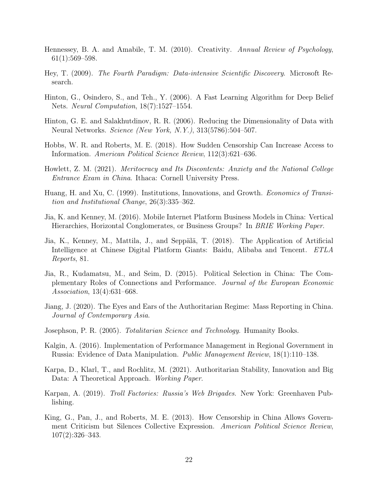- <span id="page-22-11"></span>Hennessey, B. A. and Amabile, T. M. (2010). Creativity. Annual Review of Psychology, 61(1):569–598.
- <span id="page-22-4"></span>Hey, T. (2009). The Fourth Paradigm: Data-intensive Scientific Discovery. Microsoft Research.
- <span id="page-22-1"></span>Hinton, G., Osindero, S., and Teh., Y. (2006). A Fast Learning Algorithm for Deep Belief Nets. Neural Computation, 18(7):1527–1554.
- <span id="page-22-0"></span>Hinton, G. E. and Salakhutdinov, R. R. (2006). Reducing the Dimensionality of Data with Neural Networks. Science (New York, N.Y.), 313(5786):504–507.
- <span id="page-22-7"></span>Hobbs, W. R. and Roberts, M. E. (2018). How Sudden Censorship Can Increase Access to Information. American Political Science Review, 112(3):621–636.
- <span id="page-22-12"></span>Howlett, Z. M. (2021). Meritocracy and Its Discontents: Anxiety and the National College Entrance Exam in China. Ithaca: Cornell University Press.
- <span id="page-22-2"></span>Huang, H. and Xu, C. (1999). Institutions, Innovations, and Growth. Economics of Transition and Institutional Change, 26(3):335–362.
- <span id="page-22-15"></span>Jia, K. and Kenney, M. (2016). Mobile Internet Platform Business Models in China: Vertical Hierarchies, Horizontal Conglomerates, or Business Groups? In BRIE Working Paper.
- <span id="page-22-14"></span>Jia, K., Kenney, M., Mattila, J., and Seppälä, T. (2018). The Application of Artificial Intelligence at Chinese Digital Platform Giants: Baidu, Alibaba and Tencent. ETLA Reports, 81.
- <span id="page-22-13"></span>Jia, R., Kudamatsu, M., and Seim, D. (2015). Political Selection in China: The Complementary Roles of Connections and Performance. Journal of the European Economic Association, 13(4):631–668.
- <span id="page-22-10"></span>Jiang, J. (2020). The Eyes and Ears of the Authoritarian Regime: Mass Reporting in China. Journal of Contemporary Asia.
- <span id="page-22-3"></span>Josephson, P. R. (2005). Totalitarian Science and Technology. Humanity Books.
- <span id="page-22-9"></span>Kalgin, A. (2016). Implementation of Performance Management in Regional Government in Russia: Evidence of Data Manipulation. Public Management Review, 18(1):110–138.
- <span id="page-22-5"></span>Karpa, D., Klarl, T., and Rochlitz, M. (2021). Authoritarian Stability, Innovation and Big Data: A Theoretical Approach. *Working Paper*.
- <span id="page-22-8"></span>Karpan, A. (2019). Troll Factories: Russia's Web Brigades. New York: Greenhaven Publishing.
- <span id="page-22-6"></span>King, G., Pan, J., and Roberts, M. E. (2013). How Censorship in China Allows Government Criticism but Silences Collective Expression. American Political Science Review, 107(2):326–343.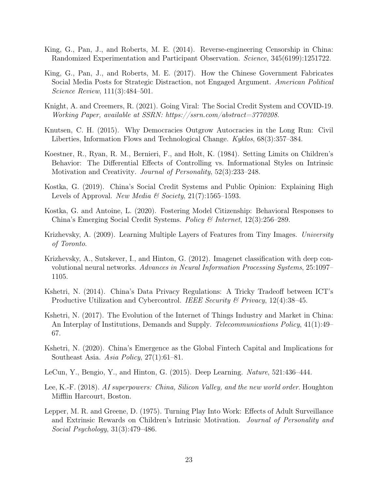- <span id="page-23-7"></span>King, G., Pan, J., and Roberts, M. E. (2014). Reverse-engineering Censorship in China: Randomized Experimentation and Participant Observation. Science, 345(6199):1251722.
- <span id="page-23-10"></span>King, G., Pan, J., and Roberts, M. E. (2017). How the Chinese Government Fabricates Social Media Posts for Strategic Distraction, not Engaged Argument. American Political Science Review, 111(3):484–501.
- <span id="page-23-11"></span>Knight, A. and Creemers, R. (2021). Going Viral: The Social Credit System and COVID-19. Working Paper, available at SSRN: https://ssrn.com/abstract=3770208.
- <span id="page-23-5"></span>Knutsen, C. H. (2015). Why Democracies Outgrow Autocracies in the Long Run: Civil Liberties, Information Flows and Technological Change. Kyklos, 68(3):357–384.
- <span id="page-23-12"></span>Koestner, R., Ryan, R. M., Bernieri, F., and Holt, K. (1984). Setting Limits on Children's Behavior: The Differential Effects of Controlling vs. Informational Styles on Intrinsic Motivation and Creativity. Journal of Personality, 52(3):233–248.
- <span id="page-23-8"></span>Kostka, G. (2019). China's Social Credit Systems and Public Opinion: Explaining High Levels of Approval. New Media & Society,  $21(7)$ :1565–1593.
- <span id="page-23-9"></span>Kostka, G. and Antoine, L. (2020). Fostering Model Citizenship: Behavioral Responses to China's Emerging Social Credit Systems. Policy & Internet, 12(3):256–289.
- <span id="page-23-0"></span>Krizhevsky, A. (2009). Learning Multiple Layers of Features from Tiny Images. University of Toronto.
- <span id="page-23-1"></span>Krizhevsky, A., Sutskever, I., and Hinton, G. (2012). Imagenet classification with deep convolutional neural networks. Advances in Neural Information Processing Systems, 25:1097– 1105.
- <span id="page-23-6"></span>Kshetri, N. (2014). China's Data Privacy Regulations: A Tricky Tradeoff between ICT's Productive Utilization and Cybercontrol. IEEE Security & Privacy,  $12(4)$ :38–45.
- <span id="page-23-4"></span>Kshetri, N. (2017). The Evolution of the Internet of Things Industry and Market in China: An Interplay of Institutions, Demands and Supply. Telecommunications Policy, 41(1):49– 67.
- <span id="page-23-14"></span>Kshetri, N. (2020). China's Emergence as the Global Fintech Capital and Implications for Southeast Asia. Asia Policy, 27(1):61–81.
- <span id="page-23-2"></span>LeCun, Y., Bengio, Y., and Hinton, G. (2015). Deep Learning. Nature, 521:436–444.
- <span id="page-23-3"></span>Lee, K.-F. (2018). AI superpowers: China, Silicon Valley, and the new world order. Houghton Mifflin Harcourt, Boston.
- <span id="page-23-13"></span>Lepper, M. R. and Greene, D. (1975). Turning Play Into Work: Effects of Adult Surveillance and Extrinsic Rewards on Children's Intrinsic Motivation. Journal of Personality and Social Psychology, 31(3):479–486.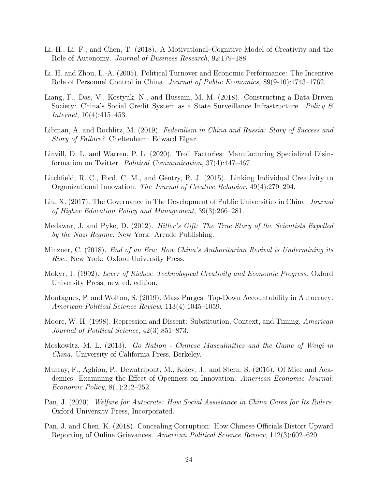- <span id="page-24-13"></span>Li, H., Li, F., and Chen, T. (2018). A Motivational–Cognitive Model of Creativity and the Role of Autonomy. Journal of Business Research, 92:179–188.
- <span id="page-24-15"></span>Li, H. and Zhou, L.-A. (2005). Political Turnover and Economic Performance: The Incentive Role of Personnel Control in China. Journal of Public Economics, 89(9-10):1743–1762.
- <span id="page-24-10"></span>Liang, F., Das, V., Kostyuk, N., and Hussain, M. M. (2018). Constructing a Data-Driven Society: China's Social Credit System as a State Surveillance Infrastructure. Policy  $\mathcal{B}$ Internet, 10(4):415–453.
- <span id="page-24-7"></span>Libman, A. and Rochlitz, M. (2019). Federalism in China and Russia: Story of Success and Story of Failure? Cheltenham: Edward Elgar.
- <span id="page-24-8"></span>Linvill, D. L. and Warren, P. L. (2020). Troll Factories: Manufacturing Specialized Disinformation on Twitter. Political Communication, 37(4):447–467.
- <span id="page-24-11"></span>Litchfield, R. C., Ford, C. M., and Gentry, R. J. (2015). Linking Individual Creativity to Organizational Innovation. The Journal of Creative Behavior, 49(4):279–294.
- <span id="page-24-14"></span>Liu, X. (2017). The Governance in The Development of Public Universities in China. Journal of Higher Education Policy and Management, 39(3):266–281.
- <span id="page-24-5"></span>Medawar, J. and Pyke, D. (2012). Hitler's Gift: The True Story of the Scientists Expelled by the Nazi Regime. New York: Arcade Publishing.
- <span id="page-24-3"></span>Minzner, C. (2018). End of an Era: How China's Authoritarian Revival is Undermining its Rise. New York: Oxford University Press.
- <span id="page-24-12"></span>Mokyr, J. (1992). Lever of Riches: Technological Creativity and Economic Progress. Oxford University Press, new ed. edition.
- <span id="page-24-2"></span>Montagnes, P. and Wolton, S. (2019). Mass Purges: Top-Down Accountability in Autocracy. American Political Science Review, 113(4):1045–1059.
- <span id="page-24-1"></span>Moore, W. H. (1998). Repression and Dissent: Substitution, Context, and Timing. American Journal of Political Science, 42(3):851–873.
- <span id="page-24-0"></span>Moskowitz, M. L. (2013). Go Nation - Chinese Masculinities and the Game of Weiqi in China. University of California Press, Berkeley.
- <span id="page-24-9"></span>Murray, F., Aghion, P., Dewatripont, M., Kolev, J., and Stern, S. (2016). Of Mice and Academics: Examining the Effect of Openness on Innovation. American Economic Journal: Economic Policy, 8(1):212–252.
- <span id="page-24-4"></span>Pan, J. (2020). Welfare for Autocrats: How Social Assistance in China Cares for Its Rulers. Oxford University Press, Incorporated.
- <span id="page-24-6"></span>Pan, J. and Chen, K. (2018). Concealing Corruption: How Chinese Officials Distort Upward Reporting of Online Grievances. American Political Science Review, 112(3):602–620.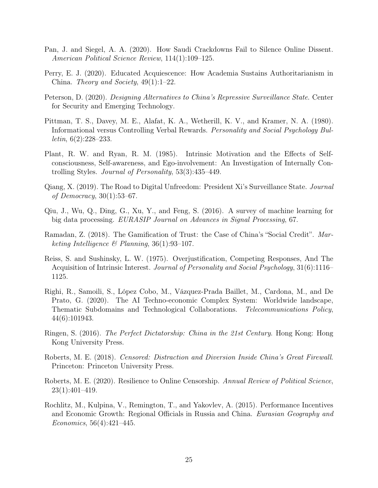- <span id="page-25-3"></span>Pan, J. and Siegel, A. A. (2020). How Saudi Crackdowns Fail to Silence Online Dissent. American Political Science Review, 114(1):109–125.
- <span id="page-25-5"></span>Perry, E. J. (2020). Educated Acquiescence: How Academia Sustains Authoritarianism in China. Theory and Society,  $49(1):1-22$ .
- <span id="page-25-12"></span>Peterson, D. (2020). Designing Alternatives to China's Repressive Surveillance State. Center for Security and Emerging Technology.
- <span id="page-25-7"></span>Pittman, T. S., Davey, M. E., Alafat, K. A., Wetherill, K. V., and Kramer, N. A. (1980). Informational versus Controlling Verbal Rewards. Personality and Social Psychology Bul*letin*,  $6(2):228-233$ .
- <span id="page-25-8"></span>Plant, R. W. and Ryan, R. M. (1985). Intrinsic Motivation and the Effects of Selfconsciousness, Self-awareness, and Ego-involvement: An Investigation of Internally Controlling Styles. Journal of Personality, 53(3):435–449.
- <span id="page-25-4"></span>Qiang, X. (2019). The Road to Digital Unfreedom: President Xi's Surveillance State. Journal of Democracy, 30(1):53–67.
- <span id="page-25-13"></span>Qiu, J., Wu, Q., Ding, G., Xu, Y., and Feng, S. (2016). A survey of machine learning for big data processing. EURASIP Journal on Advances in Signal Processing, 67.
- <span id="page-25-9"></span>Ramadan, Z. (2018). The Gamification of Trust: the Case of China's "Social Credit". Marketing Intelligence  $\mathcal B$  Planning, 36(1):93-107.
- <span id="page-25-6"></span>Reiss, S. and Sushinsky, L. W. (1975). Overjustification, Competing Responses, And The Acquisition of Intrinsic Interest. Journal of Personality and Social Psychology, 31(6):1116– 1125.
- <span id="page-25-11"></span>Righi, R., Samoili, S., López Cobo, M., Vázquez-Prada Baillet, M., Cardona, M., and De Prato, G. (2020). The AI Techno-economic Complex System: Worldwide landscape, Thematic Subdomains and Technological Collaborations. Telecommunications Policy, 44(6):101943.
- <span id="page-25-2"></span>Ringen, S. (2016). The Perfect Dictatorship: China in the 21st Century. Hong Kong: Hong Kong University Press.
- <span id="page-25-1"></span>Roberts, M. E. (2018). Censored: Distraction and Diversion Inside China's Great Firewall. Princeton: Princeton University Press.
- <span id="page-25-0"></span>Roberts, M. E. (2020). Resilience to Online Censorship. Annual Review of Political Science, 23(1):401–419.
- <span id="page-25-10"></span>Rochlitz, M., Kulpina, V., Remington, T., and Yakovlev, A. (2015). Performance Incentives and Economic Growth: Regional Officials in Russia and China. Eurasian Geography and Economics, 56(4):421–445.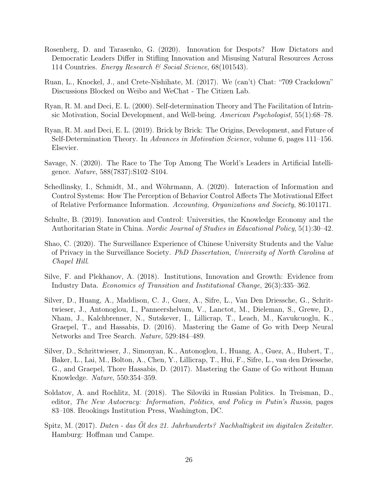- <span id="page-26-4"></span>Rosenberg, D. and Tarasenko, G. (2020). Innovation for Despots? How Dictators and Democratic Leaders Differ in Stifling Innovation and Misusing Natural Resources Across 114 Countries. Energy Research & Social Science, 68(101543).
- <span id="page-26-6"></span>Ruan, L., Knockel, J., and Crete-Nishihate, M. (2017). We (can't) Chat: "709 Crackdown" Discussions Blocked on Weibo and WeChat - The Citizen Lab.
- <span id="page-26-10"></span>Ryan, R. M. and Deci, E. L. (2000). Self-determination Theory and The Facilitation of Intrinsic Motivation, Social Development, and Well-being. American Psychologist, 55(1):68–78.
- <span id="page-26-9"></span>Ryan, R. M. and Deci, E. L. (2019). Brick by Brick: The Origins, Development, and Future of Self-Determination Theory. In Advances in Motivation Science, volume 6, pages 111–156. Elsevier.
- <span id="page-26-2"></span>Savage, N. (2020). The Race to The Top Among The World's Leaders in Artificial Intelligence. Nature, 588(7837):S102–S104.
- <span id="page-26-12"></span>Schedlinsky, I., Schmidt, M., and Wöhrmann, A. (2020). Interaction of Information and Control Systems: How The Perception of Behavior Control Affects The Motivational Effect of Relative Performance Information. Accounting, Organizations and Society, 86:101171.
- <span id="page-26-7"></span>Schulte, B. (2019). Innovation and Control: Universities, the Knowledge Economy and the Authoritarian State in China. Nordic Journal of Studies in Educational Policy, 5(1):30–42.
- <span id="page-26-11"></span>Shao, C. (2020). The Surveillance Experience of Chinese University Students and the Value of Privacy in the Surveillance Society. PhD Dissertation, University of North Carolina at Chapel Hill.
- <span id="page-26-3"></span>Silve, F. and Plekhanov, A. (2018). Institutions, Innovation and Growth: Evidence from Industry Data. Economics of Transition and Institutional Change, 26(3):335–362.
- <span id="page-26-0"></span>Silver, D., Huang, A., Maddison, C. J., Guez, A., Sifre, L., Van Den Driessche, G., Schrittwieser, J., Antonoglou, I., Panneershelvam, V., Lanctot, M., Dieleman, S., Grewe, D., Nham, J., Kalchbrenner, N., Sutskever, I., Lillicrap, T., Leach, M., Kavukcuoglu, K., Graepel, T., and Hassabis, D. (2016). Mastering the Game of Go with Deep Neural Networks and Tree Search. Nature, 529:484–489.
- <span id="page-26-1"></span>Silver, D., Schrittwieser, J., Simonyan, K., Antonoglou, I., Huang, A., Guez, A., Hubert, T., Baker, L., Lai, M., Bolton, A., Chen, Y., Lillicrap, T., Hui, F., Sifre, L., van den Driessche, G., and Graepel, Thore Hassabis, D. (2017). Mastering the Game of Go without Human Knowledge. Nature, 550:354–359.
- <span id="page-26-5"></span>Soldatov, A. and Rochlitz, M. (2018). The Siloviki in Russian Politics. In Treisman, D., editor, The New Autocracy: Information, Politics, and Policy in Putin's Russia, pages 83–108. Brookings Institution Press, Washington, DC.
- <span id="page-26-8"></span>Spitz, M. (2017). Daten - das Öl des 21. Jahrhunderts? Nachhaltigkeit im digitalen Zeitalter. Hamburg: Hoffman und Campe.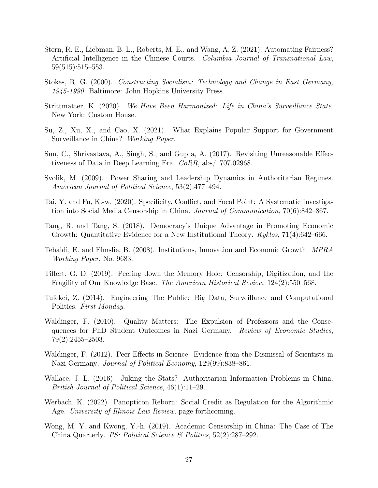- <span id="page-27-15"></span>Stern, R. E., Liebman, B. L., Roberts, M. E., and Wang, A. Z. (2021). Automating Fairness? Artificial Intelligence in the Chinese Courts. Columbia Journal of Transnational Law, 59(515):515–553.
- <span id="page-27-0"></span>Stokes, R. G. (2000). Constructing Socialism: Technology and Change in East Germany, 1945-1990. Baltimore: John Hopkins University Press.
- <span id="page-27-4"></span>Strittmatter, K. (2020). We Have Been Harmonized: Life in China's Surveillance State. New York: Custom House.
- <span id="page-27-13"></span>Su, Z., Xu, X., and Cao, X. (2021). What Explains Popular Support for Government Surveillance in China? Working Paper.
- <span id="page-27-3"></span>Sun, C., Shrivastava, A., Singh, S., and Gupta, A. (2017). Revisiting Unreasonable Effectiveness of Data in Deep Learning Era. CoRR, abs/1707.02968.
- <span id="page-27-5"></span>Svolik, M. (2009). Power Sharing and Leadership Dynamics in Authoritarian Regimes. American Journal of Political Science, 53(2):477–494.
- <span id="page-27-9"></span>Tai, Y. and Fu, K.-w. (2020). Specificity, Conflict, and Focal Point: A Systematic Investigation into Social Media Censorship in China. Journal of Communication, 70(6):842–867.
- <span id="page-27-2"></span>Tang, R. and Tang, S. (2018). Democracy's Unique Advantage in Promoting Economic Growth: Quantitative Evidence for a New Institutional Theory. Kyklos, 71(4):642–666.
- <span id="page-27-1"></span>Tebaldi, E. and Elmslie, B. (2008). Institutions, Innovation and Economic Growth. MPRA Working Paper, No. 9683.
- <span id="page-27-8"></span>Tiffert, G. D. (2019). Peering down the Memory Hole: Censorship, Digitization, and the Fragility of Our Knowledge Base. The American Historical Review, 124(2):550–568.
- <span id="page-27-12"></span>Tufekci, Z. (2014). Engineering The Public: Big Data, Surveillance and Computational Politics. First Monday.
- <span id="page-27-6"></span>Waldinger, F. (2010). Quality Matters: The Expulsion of Professors and the Consequences for PhD Student Outcomes in Nazi Germany. Review of Economic Studies, 79(2):2455–2503.
- <span id="page-27-7"></span>Waldinger, F. (2012). Peer Effects in Science: Evidence from the Dismissal of Scientists in Nazi Germany. Journal of Political Economy, 129(99):838–861.
- <span id="page-27-10"></span>Wallace, J. L. (2016). Juking the Stats? Authoritarian Information Problems in China. British Journal of Political Science, 46(1):11–29.
- <span id="page-27-14"></span>Werbach, K. (2022). Panopticon Reborn: Social Credit as Regulation for the Algorithmic Age. University of Illinois Law Review, page forthcoming.
- <span id="page-27-11"></span>Wong, M. Y. and Kwong, Y.-h. (2019). Academic Censorship in China: The Case of The China Quarterly. PS: Political Science & Politics, 52(2):287–292.